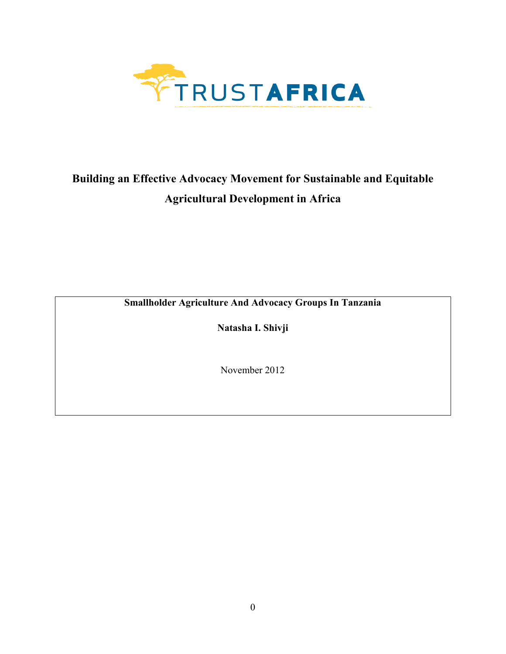

# **Building an Effective Advocacy Movement for Sustainable and Equitable Agricultural Development in Africa**

**Smallholder Agriculture And Advocacy Groups In Tanzania** 

**Natasha I. Shivji** 

November 2012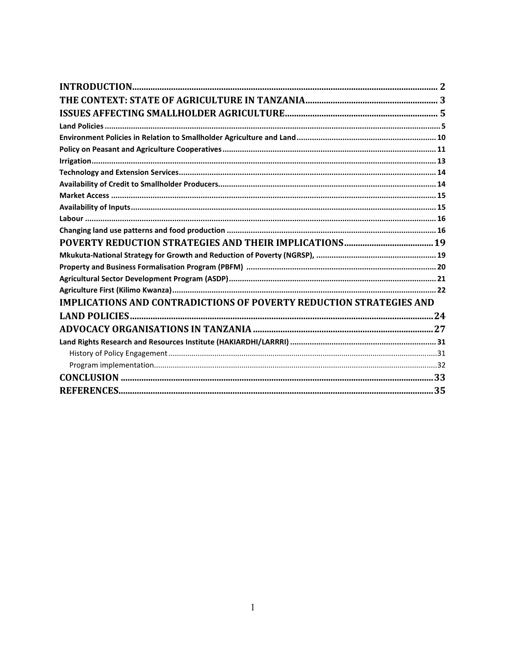| <b>IMPLICATIONS AND CONTRADICTIONS OF POVERTY REDUCTION STRATEGIES AND</b> |
|----------------------------------------------------------------------------|
|                                                                            |
|                                                                            |
|                                                                            |
|                                                                            |
|                                                                            |
|                                                                            |
|                                                                            |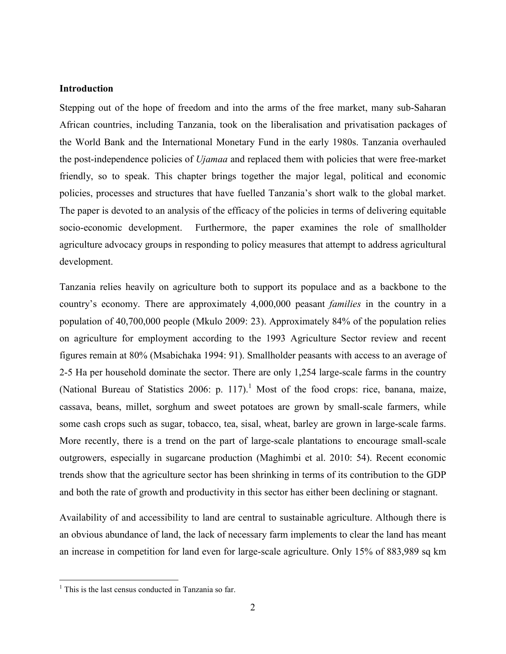# **Introduction**

Stepping out of the hope of freedom and into the arms of the free market, many sub-Saharan African countries, including Tanzania, took on the liberalisation and privatisation packages of the World Bank and the International Monetary Fund in the early 1980s. Tanzania overhauled the post-independence policies of *Ujamaa* and replaced them with policies that were free-market friendly, so to speak. This chapter brings together the major legal, political and economic policies, processes and structures that have fuelled Tanzania's short walk to the global market. The paper is devoted to an analysis of the efficacy of the policies in terms of delivering equitable socio-economic development. Furthermore, the paper examines the role of smallholder agriculture advocacy groups in responding to policy measures that attempt to address agricultural development.

Tanzania relies heavily on agriculture both to support its populace and as a backbone to the country's economy. There are approximately 4,000,000 peasant *families* in the country in a population of 40,700,000 people (Mkulo 2009: 23). Approximately 84% of the population relies on agriculture for employment according to the 1993 Agriculture Sector review and recent figures remain at 80% (Msabichaka 1994: 91). Smallholder peasants with access to an average of 2-5 Ha per household dominate the sector. There are only 1,254 large-scale farms in the country (National Bureau of Statistics 2006: p. 117).<sup>1</sup> Most of the food crops: rice, banana, maize, cassava, beans, millet, sorghum and sweet potatoes are grown by small-scale farmers, while some cash crops such as sugar, tobacco, tea, sisal, wheat, barley are grown in large-scale farms. More recently, there is a trend on the part of large-scale plantations to encourage small-scale outgrowers, especially in sugarcane production (Maghimbi et al. 2010: 54). Recent economic trends show that the agriculture sector has been shrinking in terms of its contribution to the GDP and both the rate of growth and productivity in this sector has either been declining or stagnant.

Availability of and accessibility to land are central to sustainable agriculture. Although there is an obvious abundance of land, the lack of necessary farm implements to clear the land has meant an increase in competition for land even for large-scale agriculture. Only 15% of 883,989 sq km

 $\overline{a}$ 

<sup>&</sup>lt;sup>1</sup> This is the last census conducted in Tanzania so far.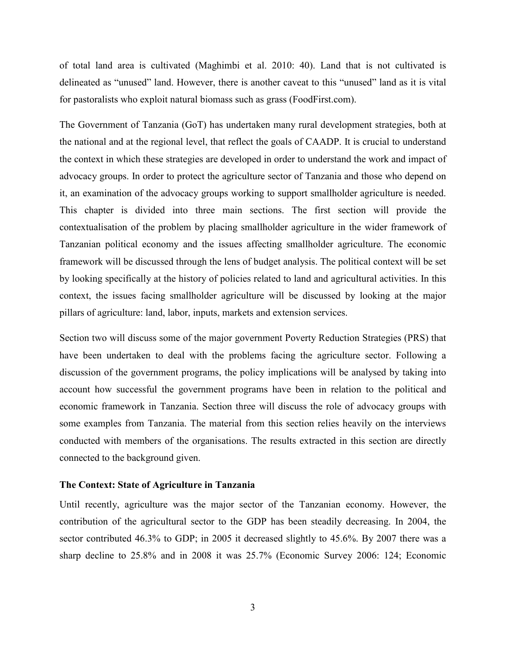of total land area is cultivated (Maghimbi et al. 2010: 40). Land that is not cultivated is delineated as "unused" land. However, there is another caveat to this "unused" land as it is vital for pastoralists who exploit natural biomass such as grass (FoodFirst.com).

The Government of Tanzania (GoT) has undertaken many rural development strategies, both at the national and at the regional level, that reflect the goals of CAADP. It is crucial to understand the context in which these strategies are developed in order to understand the work and impact of advocacy groups. In order to protect the agriculture sector of Tanzania and those who depend on it, an examination of the advocacy groups working to support smallholder agriculture is needed. This chapter is divided into three main sections. The first section will provide the contextualisation of the problem by placing smallholder agriculture in the wider framework of Tanzanian political economy and the issues affecting smallholder agriculture. The economic framework will be discussed through the lens of budget analysis. The political context will be set by looking specifically at the history of policies related to land and agricultural activities. In this context, the issues facing smallholder agriculture will be discussed by looking at the major pillars of agriculture: land, labor, inputs, markets and extension services.

Section two will discuss some of the major government Poverty Reduction Strategies (PRS) that have been undertaken to deal with the problems facing the agriculture sector. Following a discussion of the government programs, the policy implications will be analysed by taking into account how successful the government programs have been in relation to the political and economic framework in Tanzania. Section three will discuss the role of advocacy groups with some examples from Tanzania. The material from this section relies heavily on the interviews conducted with members of the organisations. The results extracted in this section are directly connected to the background given.

#### **The Context: State of Agriculture in Tanzania**

Until recently, agriculture was the major sector of the Tanzanian economy. However, the contribution of the agricultural sector to the GDP has been steadily decreasing. In 2004, the sector contributed 46.3% to GDP; in 2005 it decreased slightly to 45.6%. By 2007 there was a sharp decline to 25.8% and in 2008 it was 25.7% (Economic Survey 2006: 124; Economic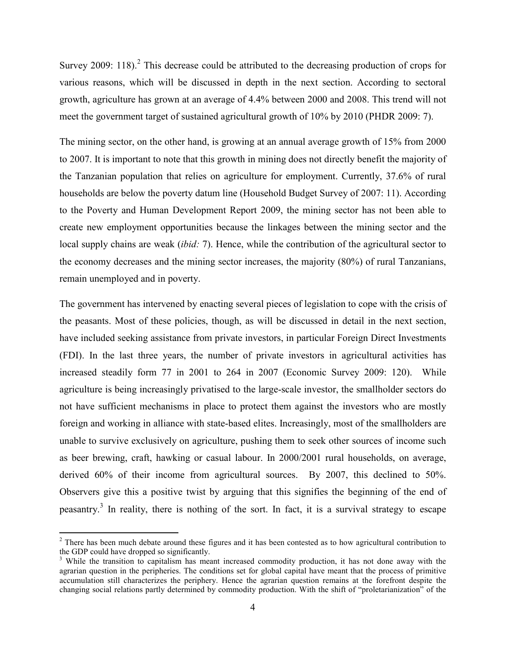Survey 2009: 118).<sup>2</sup> This decrease could be attributed to the decreasing production of crops for various reasons, which will be discussed in depth in the next section. According to sectoral growth, agriculture has grown at an average of 4.4% between 2000 and 2008. This trend will not meet the government target of sustained agricultural growth of 10% by 2010 (PHDR 2009: 7).

The mining sector, on the other hand, is growing at an annual average growth of 15% from 2000 to 2007. It is important to note that this growth in mining does not directly benefit the majority of the Tanzanian population that relies on agriculture for employment. Currently, 37.6% of rural households are below the poverty datum line (Household Budget Survey of 2007: 11). According to the Poverty and Human Development Report 2009, the mining sector has not been able to create new employment opportunities because the linkages between the mining sector and the local supply chains are weak *(ibid: 7)*. Hence, while the contribution of the agricultural sector to the economy decreases and the mining sector increases, the majority (80%) of rural Tanzanians, remain unemployed and in poverty.

The government has intervened by enacting several pieces of legislation to cope with the crisis of the peasants. Most of these policies, though, as will be discussed in detail in the next section, have included seeking assistance from private investors, in particular Foreign Direct Investments (FDI). In the last three years, the number of private investors in agricultural activities has increased steadily form 77 in 2001 to 264 in 2007 (Economic Survey 2009: 120). While agriculture is being increasingly privatised to the large-scale investor, the smallholder sectors do not have sufficient mechanisms in place to protect them against the investors who are mostly foreign and working in alliance with state-based elites. Increasingly, most of the smallholders are unable to survive exclusively on agriculture, pushing them to seek other sources of income such as beer brewing, craft, hawking or casual labour. In 2000/2001 rural households, on average, derived 60% of their income from agricultural sources. By 2007, this declined to 50%. Observers give this a positive twist by arguing that this signifies the beginning of the end of peasantry.<sup>3</sup> In reality, there is nothing of the sort. In fact, it is a survival strategy to escape

<sup>&</sup>lt;sup>2</sup> There has been much debate around these figures and it has been contested as to how agricultural contribution to the GDP could have dropped so significantly.

<sup>&</sup>lt;sup>3</sup> While the transition to capitalism has meant increased commodity production, it has not done away with the agrarian question in the peripheries. The conditions set for global capital have meant that the process of primitive accumulation still characterizes the periphery. Hence the agrarian question remains at the forefront despite the changing social relations partly determined by commodity production. With the shift of "proletarianization" of the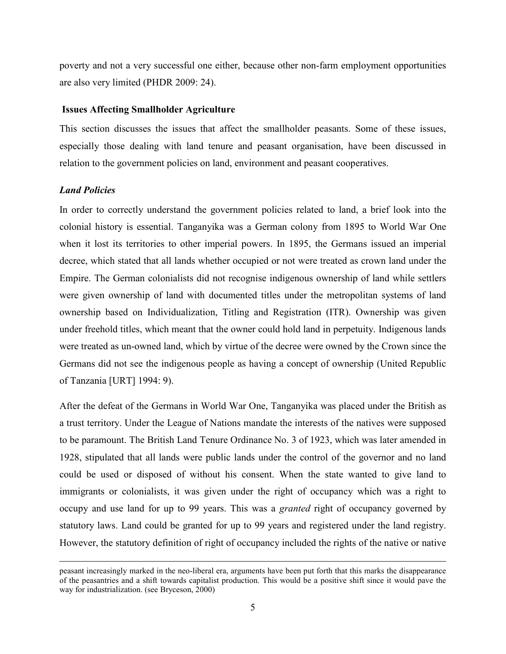poverty and not a very successful one either, because other non-farm employment opportunities are also very limited (PHDR 2009: 24).

#### **Issues Affecting Smallholder Agriculture**

This section discusses the issues that affect the smallholder peasants. Some of these issues, especially those dealing with land tenure and peasant organisation, have been discussed in relation to the government policies on land, environment and peasant cooperatives.

# *Land Policies*

 $\overline{a}$ 

In order to correctly understand the government policies related to land, a brief look into the colonial history is essential. Tanganyika was a German colony from 1895 to World War One when it lost its territories to other imperial powers. In 1895, the Germans issued an imperial decree, which stated that all lands whether occupied or not were treated as crown land under the Empire. The German colonialists did not recognise indigenous ownership of land while settlers were given ownership of land with documented titles under the metropolitan systems of land ownership based on Individualization, Titling and Registration (ITR). Ownership was given under freehold titles, which meant that the owner could hold land in perpetuity. Indigenous lands were treated as un-owned land, which by virtue of the decree were owned by the Crown since the Germans did not see the indigenous people as having a concept of ownership (United Republic of Tanzania [URT] 1994: 9).

After the defeat of the Germans in World War One, Tanganyika was placed under the British as a trust territory. Under the League of Nations mandate the interests of the natives were supposed to be paramount. The British Land Tenure Ordinance No. 3 of 1923, which was later amended in 1928, stipulated that all lands were public lands under the control of the governor and no land could be used or disposed of without his consent. When the state wanted to give land to immigrants or colonialists, it was given under the right of occupancy which was a right to occupy and use land for up to 99 years. This was a *granted* right of occupancy governed by statutory laws. Land could be granted for up to 99 years and registered under the land registry. However, the statutory definition of right of occupancy included the rights of the native or native

peasant increasingly marked in the neo-liberal era, arguments have been put forth that this marks the disappearance of the peasantries and a shift towards capitalist production. This would be a positive shift since it would pave the way for industrialization. (see Bryceson, 2000)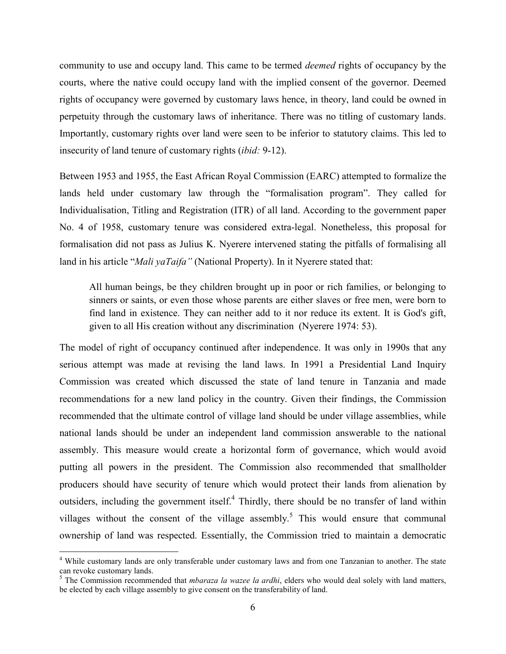community to use and occupy land. This came to be termed *deemed* rights of occupancy by the courts, where the native could occupy land with the implied consent of the governor. Deemed rights of occupancy were governed by customary laws hence, in theory, land could be owned in perpetuity through the customary laws of inheritance. There was no titling of customary lands. Importantly, customary rights over land were seen to be inferior to statutory claims. This led to insecurity of land tenure of customary rights (*ibid:* 9-12).

Between 1953 and 1955, the East African Royal Commission (EARC) attempted to formalize the lands held under customary law through the "formalisation program". They called for Individualisation, Titling and Registration (ITR) of all land. According to the government paper No. 4 of 1958, customary tenure was considered extra-legal. Nonetheless, this proposal for formalisation did not pass as Julius K. Nyerere intervened stating the pitfalls of formalising all land in his article "*Mali yaTaifa"* (National Property). In it Nyerere stated that:

All human beings, be they children brought up in poor or rich families, or belonging to sinners or saints, or even those whose parents are either slaves or free men, were born to find land in existence. They can neither add to it nor reduce its extent. It is God's gift, given to all His creation without any discrimination (Nyerere 1974: 53).

The model of right of occupancy continued after independence. It was only in 1990s that any serious attempt was made at revising the land laws. In 1991 a Presidential Land Inquiry Commission was created which discussed the state of land tenure in Tanzania and made recommendations for a new land policy in the country. Given their findings, the Commission recommended that the ultimate control of village land should be under village assemblies, while national lands should be under an independent land commission answerable to the national assembly. This measure would create a horizontal form of governance, which would avoid putting all powers in the president. The Commission also recommended that smallholder producers should have security of tenure which would protect their lands from alienation by outsiders, including the government itself.<sup>4</sup> Thirdly, there should be no transfer of land within villages without the consent of the village assembly.<sup>5</sup> This would ensure that communal ownership of land was respected. Essentially, the Commission tried to maintain a democratic

<u>.</u>

<sup>&</sup>lt;sup>4</sup> While customary lands are only transferable under customary laws and from one Tanzanian to another. The state can revoke customary lands. 5 The Commission recommended that *mbaraza la wazee la ardhi*, elders who would deal solely with land matters,

be elected by each village assembly to give consent on the transferability of land.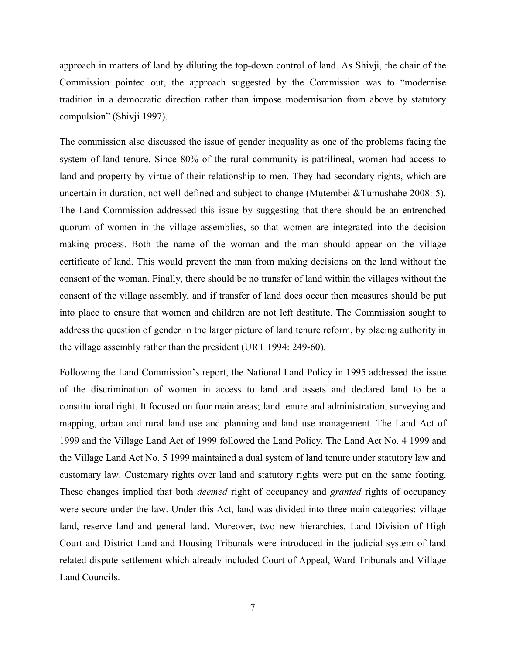approach in matters of land by diluting the top-down control of land. As Shivji, the chair of the Commission pointed out, the approach suggested by the Commission was to "modernise tradition in a democratic direction rather than impose modernisation from above by statutory compulsion" (Shivji 1997).

The commission also discussed the issue of gender inequality as one of the problems facing the system of land tenure. Since 80% of the rural community is patrilineal, women had access to land and property by virtue of their relationship to men. They had secondary rights, which are uncertain in duration, not well-defined and subject to change (Mutembei &Tumushabe 2008: 5). The Land Commission addressed this issue by suggesting that there should be an entrenched quorum of women in the village assemblies, so that women are integrated into the decision making process. Both the name of the woman and the man should appear on the village certificate of land. This would prevent the man from making decisions on the land without the consent of the woman. Finally, there should be no transfer of land within the villages without the consent of the village assembly, and if transfer of land does occur then measures should be put into place to ensure that women and children are not left destitute. The Commission sought to address the question of gender in the larger picture of land tenure reform, by placing authority in the village assembly rather than the president (URT 1994: 249-60).

Following the Land Commission's report, the National Land Policy in 1995 addressed the issue of the discrimination of women in access to land and assets and declared land to be a constitutional right. It focused on four main areas; land tenure and administration, surveying and mapping, urban and rural land use and planning and land use management. The Land Act of 1999 and the Village Land Act of 1999 followed the Land Policy. The Land Act No. 4 1999 and the Village Land Act No. 5 1999 maintained a dual system of land tenure under statutory law and customary law. Customary rights over land and statutory rights were put on the same footing. These changes implied that both *deemed* right of occupancy and *granted* rights of occupancy were secure under the law. Under this Act, land was divided into three main categories: village land, reserve land and general land. Moreover, two new hierarchies, Land Division of High Court and District Land and Housing Tribunals were introduced in the judicial system of land related dispute settlement which already included Court of Appeal, Ward Tribunals and Village Land Councils.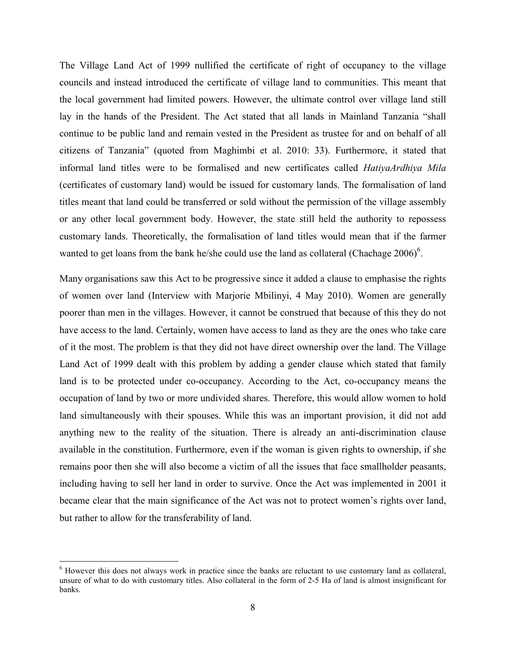The Village Land Act of 1999 nullified the certificate of right of occupancy to the village councils and instead introduced the certificate of village land to communities. This meant that the local government had limited powers. However, the ultimate control over village land still lay in the hands of the President. The Act stated that all lands in Mainland Tanzania "shall continue to be public land and remain vested in the President as trustee for and on behalf of all citizens of Tanzania" (quoted from Maghimbi et al. 2010: 33). Furthermore, it stated that informal land titles were to be formalised and new certificates called *HatiyaArdhiya Mila*  (certificates of customary land) would be issued for customary lands. The formalisation of land titles meant that land could be transferred or sold without the permission of the village assembly or any other local government body. However, the state still held the authority to repossess customary lands. Theoretically, the formalisation of land titles would mean that if the farmer wanted to get loans from the bank he/she could use the land as collateral (Chachage  $2006$ )<sup>6</sup>.

Many organisations saw this Act to be progressive since it added a clause to emphasise the rights of women over land (Interview with Marjorie Mbilinyi, 4 May 2010). Women are generally poorer than men in the villages. However, it cannot be construed that because of this they do not have access to the land. Certainly, women have access to land as they are the ones who take care of it the most. The problem is that they did not have direct ownership over the land. The Village Land Act of 1999 dealt with this problem by adding a gender clause which stated that family land is to be protected under co-occupancy. According to the Act, co-occupancy means the occupation of land by two or more undivided shares. Therefore, this would allow women to hold land simultaneously with their spouses. While this was an important provision, it did not add anything new to the reality of the situation. There is already an anti-discrimination clause available in the constitution. Furthermore, even if the woman is given rights to ownership, if she remains poor then she will also become a victim of all the issues that face smallholder peasants, including having to sell her land in order to survive. Once the Act was implemented in 2001 it became clear that the main significance of the Act was not to protect women's rights over land, but rather to allow for the transferability of land.

 $\overline{a}$ 

<sup>&</sup>lt;sup>6</sup> However this does not always work in practice since the banks are reluctant to use customary land as collateral, unsure of what to do with customary titles. Also collateral in the form of 2-5 Ha of land is almost insignificant for banks.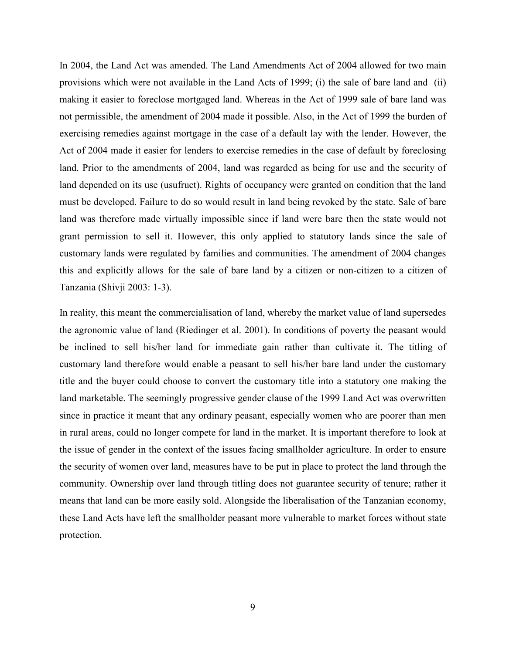In 2004, the Land Act was amended. The Land Amendments Act of 2004 allowed for two main provisions which were not available in the Land Acts of 1999; (i) the sale of bare land and (ii) making it easier to foreclose mortgaged land. Whereas in the Act of 1999 sale of bare land was not permissible, the amendment of 2004 made it possible. Also, in the Act of 1999 the burden of exercising remedies against mortgage in the case of a default lay with the lender. However, the Act of 2004 made it easier for lenders to exercise remedies in the case of default by foreclosing land. Prior to the amendments of 2004, land was regarded as being for use and the security of land depended on its use (usufruct). Rights of occupancy were granted on condition that the land must be developed. Failure to do so would result in land being revoked by the state. Sale of bare land was therefore made virtually impossible since if land were bare then the state would not grant permission to sell it. However, this only applied to statutory lands since the sale of customary lands were regulated by families and communities. The amendment of 2004 changes this and explicitly allows for the sale of bare land by a citizen or non-citizen to a citizen of Tanzania (Shivji 2003: 1-3).

In reality, this meant the commercialisation of land, whereby the market value of land supersedes the agronomic value of land (Riedinger et al. 2001). In conditions of poverty the peasant would be inclined to sell his/her land for immediate gain rather than cultivate it. The titling of customary land therefore would enable a peasant to sell his/her bare land under the customary title and the buyer could choose to convert the customary title into a statutory one making the land marketable. The seemingly progressive gender clause of the 1999 Land Act was overwritten since in practice it meant that any ordinary peasant, especially women who are poorer than men in rural areas, could no longer compete for land in the market. It is important therefore to look at the issue of gender in the context of the issues facing smallholder agriculture. In order to ensure the security of women over land, measures have to be put in place to protect the land through the community. Ownership over land through titling does not guarantee security of tenure; rather it means that land can be more easily sold. Alongside the liberalisation of the Tanzanian economy, these Land Acts have left the smallholder peasant more vulnerable to market forces without state protection.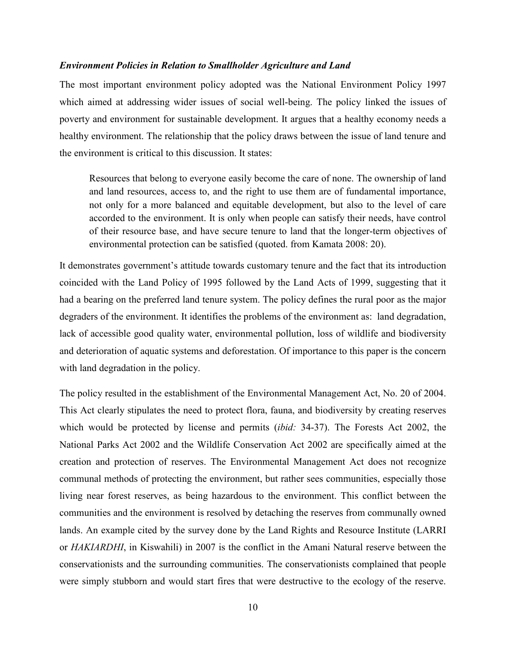## *Environment Policies in Relation to Smallholder Agriculture and Land*

The most important environment policy adopted was the National Environment Policy 1997 which aimed at addressing wider issues of social well-being. The policy linked the issues of poverty and environment for sustainable development. It argues that a healthy economy needs a healthy environment. The relationship that the policy draws between the issue of land tenure and the environment is critical to this discussion. It states:

Resources that belong to everyone easily become the care of none. The ownership of land and land resources, access to, and the right to use them are of fundamental importance, not only for a more balanced and equitable development, but also to the level of care accorded to the environment. It is only when people can satisfy their needs, have control of their resource base, and have secure tenure to land that the longer-term objectives of environmental protection can be satisfied (quoted. from Kamata 2008: 20).

It demonstrates government's attitude towards customary tenure and the fact that its introduction coincided with the Land Policy of 1995 followed by the Land Acts of 1999, suggesting that it had a bearing on the preferred land tenure system. The policy defines the rural poor as the major degraders of the environment. It identifies the problems of the environment as: land degradation, lack of accessible good quality water, environmental pollution, loss of wildlife and biodiversity and deterioration of aquatic systems and deforestation. Of importance to this paper is the concern with land degradation in the policy.

The policy resulted in the establishment of the Environmental Management Act, No. 20 of 2004. This Act clearly stipulates the need to protect flora, fauna, and biodiversity by creating reserves which would be protected by license and permits (*ibid:* 34-37). The Forests Act 2002, the National Parks Act 2002 and the Wildlife Conservation Act 2002 are specifically aimed at the creation and protection of reserves. The Environmental Management Act does not recognize communal methods of protecting the environment, but rather sees communities, especially those living near forest reserves, as being hazardous to the environment. This conflict between the communities and the environment is resolved by detaching the reserves from communally owned lands. An example cited by the survey done by the Land Rights and Resource Institute (LARRI or *HAKIARDHI*, in Kiswahili) in 2007 is the conflict in the Amani Natural reserve between the conservationists and the surrounding communities. The conservationists complained that people were simply stubborn and would start fires that were destructive to the ecology of the reserve.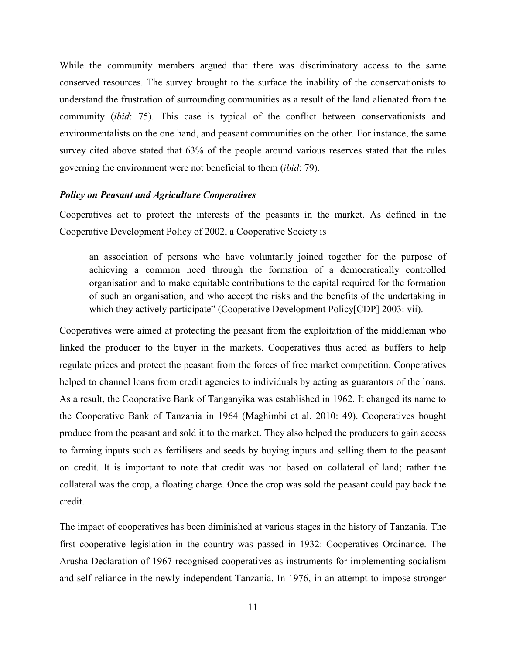While the community members argued that there was discriminatory access to the same conserved resources. The survey brought to the surface the inability of the conservationists to understand the frustration of surrounding communities as a result of the land alienated from the community (*ibid*: 75). This case is typical of the conflict between conservationists and environmentalists on the one hand, and peasant communities on the other. For instance, the same survey cited above stated that 63% of the people around various reserves stated that the rules governing the environment were not beneficial to them (*ibid*: 79).

### *Policy on Peasant and Agriculture Cooperatives*

Cooperatives act to protect the interests of the peasants in the market. As defined in the Cooperative Development Policy of 2002, a Cooperative Society is

an association of persons who have voluntarily joined together for the purpose of achieving a common need through the formation of a democratically controlled organisation and to make equitable contributions to the capital required for the formation of such an organisation, and who accept the risks and the benefits of the undertaking in which they actively participate" (Cooperative Development Policy[CDP] 2003: vii).

Cooperatives were aimed at protecting the peasant from the exploitation of the middleman who linked the producer to the buyer in the markets. Cooperatives thus acted as buffers to help regulate prices and protect the peasant from the forces of free market competition. Cooperatives helped to channel loans from credit agencies to individuals by acting as guarantors of the loans. As a result, the Cooperative Bank of Tanganyika was established in 1962. It changed its name to the Cooperative Bank of Tanzania in 1964 (Maghimbi et al. 2010: 49). Cooperatives bought produce from the peasant and sold it to the market. They also helped the producers to gain access to farming inputs such as fertilisers and seeds by buying inputs and selling them to the peasant on credit. It is important to note that credit was not based on collateral of land; rather the collateral was the crop, a floating charge. Once the crop was sold the peasant could pay back the credit.

The impact of cooperatives has been diminished at various stages in the history of Tanzania. The first cooperative legislation in the country was passed in 1932: Cooperatives Ordinance. The Arusha Declaration of 1967 recognised cooperatives as instruments for implementing socialism and self-reliance in the newly independent Tanzania. In 1976, in an attempt to impose stronger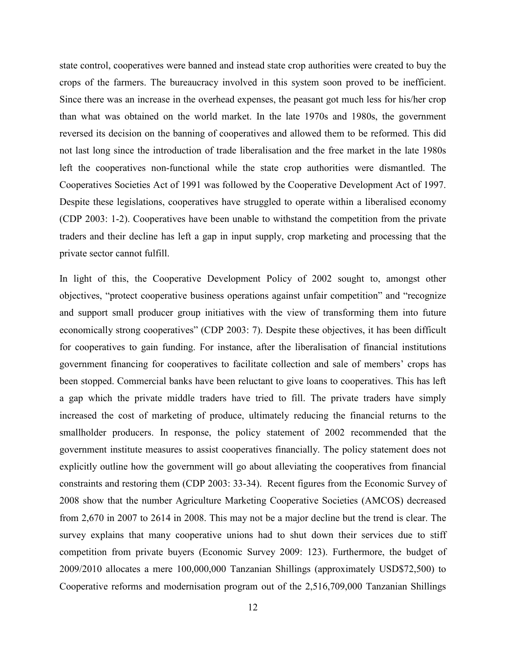state control, cooperatives were banned and instead state crop authorities were created to buy the crops of the farmers. The bureaucracy involved in this system soon proved to be inefficient. Since there was an increase in the overhead expenses, the peasant got much less for his/her crop than what was obtained on the world market. In the late 1970s and 1980s, the government reversed its decision on the banning of cooperatives and allowed them to be reformed. This did not last long since the introduction of trade liberalisation and the free market in the late 1980s left the cooperatives non-functional while the state crop authorities were dismantled. The Cooperatives Societies Act of 1991 was followed by the Cooperative Development Act of 1997. Despite these legislations, cooperatives have struggled to operate within a liberalised economy (CDP 2003: 1-2). Cooperatives have been unable to withstand the competition from the private traders and their decline has left a gap in input supply, crop marketing and processing that the private sector cannot fulfill.

In light of this, the Cooperative Development Policy of 2002 sought to, amongst other objectives, "protect cooperative business operations against unfair competition" and "recognize and support small producer group initiatives with the view of transforming them into future economically strong cooperatives" (CDP 2003: 7). Despite these objectives, it has been difficult for cooperatives to gain funding. For instance, after the liberalisation of financial institutions government financing for cooperatives to facilitate collection and sale of members' crops has been stopped. Commercial banks have been reluctant to give loans to cooperatives. This has left a gap which the private middle traders have tried to fill. The private traders have simply increased the cost of marketing of produce, ultimately reducing the financial returns to the smallholder producers. In response, the policy statement of 2002 recommended that the government institute measures to assist cooperatives financially. The policy statement does not explicitly outline how the government will go about alleviating the cooperatives from financial constraints and restoring them (CDP 2003: 33-34). Recent figures from the Economic Survey of 2008 show that the number Agriculture Marketing Cooperative Societies (AMCOS) decreased from 2,670 in 2007 to 2614 in 2008. This may not be a major decline but the trend is clear. The survey explains that many cooperative unions had to shut down their services due to stiff competition from private buyers (Economic Survey 2009: 123). Furthermore, the budget of 2009/2010 allocates a mere 100,000,000 Tanzanian Shillings (approximately USD\$72,500) to Cooperative reforms and modernisation program out of the 2,516,709,000 Tanzanian Shillings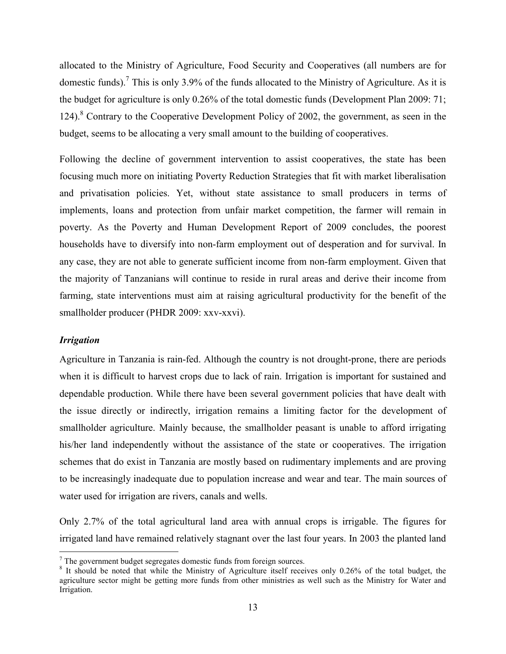allocated to the Ministry of Agriculture, Food Security and Cooperatives (all numbers are for domestic funds).<sup>7</sup> This is only 3.9% of the funds allocated to the Ministry of Agriculture. As it is the budget for agriculture is only 0.26% of the total domestic funds (Development Plan 2009: 71; 124).<sup>8</sup> Contrary to the Cooperative Development Policy of 2002, the government, as seen in the budget, seems to be allocating a very small amount to the building of cooperatives.

Following the decline of government intervention to assist cooperatives, the state has been focusing much more on initiating Poverty Reduction Strategies that fit with market liberalisation and privatisation policies. Yet, without state assistance to small producers in terms of implements, loans and protection from unfair market competition, the farmer will remain in poverty. As the Poverty and Human Development Report of 2009 concludes, the poorest households have to diversify into non-farm employment out of desperation and for survival. In any case, they are not able to generate sufficient income from non-farm employment. Given that the majority of Tanzanians will continue to reside in rural areas and derive their income from farming, state interventions must aim at raising agricultural productivity for the benefit of the smallholder producer (PHDR 2009: xxv-xxvi).

# *Irrigation*

<u>.</u>

Agriculture in Tanzania is rain-fed. Although the country is not drought-prone, there are periods when it is difficult to harvest crops due to lack of rain. Irrigation is important for sustained and dependable production. While there have been several government policies that have dealt with the issue directly or indirectly, irrigation remains a limiting factor for the development of smallholder agriculture. Mainly because, the smallholder peasant is unable to afford irrigating his/her land independently without the assistance of the state or cooperatives. The irrigation schemes that do exist in Tanzania are mostly based on rudimentary implements and are proving to be increasingly inadequate due to population increase and wear and tear. The main sources of water used for irrigation are rivers, canals and wells.

Only 2.7% of the total agricultural land area with annual crops is irrigable. The figures for irrigated land have remained relatively stagnant over the last four years. In 2003 the planted land

 $7$  The government budget segregates domestic funds from foreign sources.

<sup>&</sup>lt;sup>8</sup> It should be noted that while the Ministry of Agriculture itself receives only 0.26% of the total budget, the agriculture sector might be getting more funds from other ministries as well such as the Ministry for Water and Irrigation.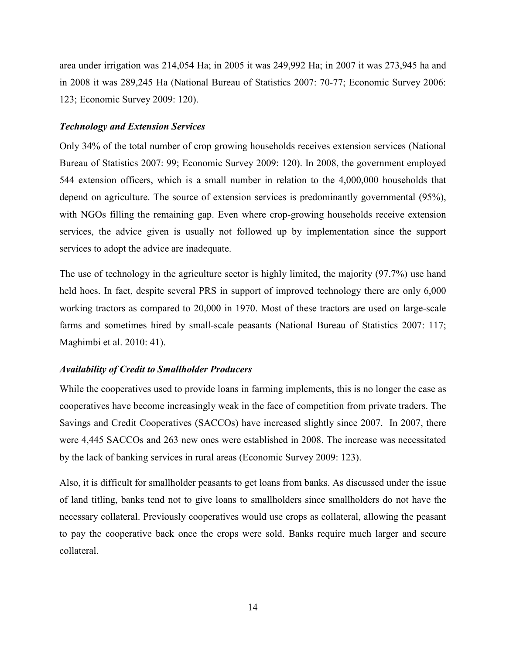area under irrigation was 214,054 Ha; in 2005 it was 249,992 Ha; in 2007 it was 273,945 ha and in 2008 it was 289,245 Ha (National Bureau of Statistics 2007: 70-77; Economic Survey 2006: 123; Economic Survey 2009: 120).

## *Technology and Extension Services*

Only 34% of the total number of crop growing households receives extension services (National Bureau of Statistics 2007: 99; Economic Survey 2009: 120). In 2008, the government employed 544 extension officers, which is a small number in relation to the 4,000,000 households that depend on agriculture. The source of extension services is predominantly governmental (95%), with NGOs filling the remaining gap. Even where crop-growing households receive extension services, the advice given is usually not followed up by implementation since the support services to adopt the advice are inadequate.

The use of technology in the agriculture sector is highly limited, the majority (97.7%) use hand held hoes. In fact, despite several PRS in support of improved technology there are only 6,000 working tractors as compared to 20,000 in 1970. Most of these tractors are used on large-scale farms and sometimes hired by small-scale peasants (National Bureau of Statistics 2007: 117; Maghimbi et al. 2010: 41).

## *Availability of Credit to Smallholder Producers*

While the cooperatives used to provide loans in farming implements, this is no longer the case as cooperatives have become increasingly weak in the face of competition from private traders. The Savings and Credit Cooperatives (SACCOs) have increased slightly since 2007. In 2007, there were 4,445 SACCOs and 263 new ones were established in 2008. The increase was necessitated by the lack of banking services in rural areas (Economic Survey 2009: 123).

Also, it is difficult for smallholder peasants to get loans from banks. As discussed under the issue of land titling, banks tend not to give loans to smallholders since smallholders do not have the necessary collateral. Previously cooperatives would use crops as collateral, allowing the peasant to pay the cooperative back once the crops were sold. Banks require much larger and secure collateral.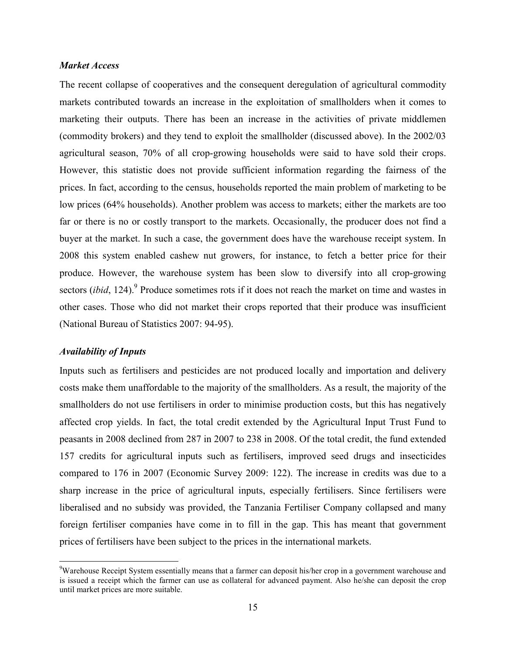# *Market Access*

The recent collapse of cooperatives and the consequent deregulation of agricultural commodity markets contributed towards an increase in the exploitation of smallholders when it comes to marketing their outputs. There has been an increase in the activities of private middlemen (commodity brokers) and they tend to exploit the smallholder (discussed above). In the 2002/03 agricultural season, 70% of all crop-growing households were said to have sold their crops. However, this statistic does not provide sufficient information regarding the fairness of the prices. In fact, according to the census, households reported the main problem of marketing to be low prices (64% households). Another problem was access to markets; either the markets are too far or there is no or costly transport to the markets. Occasionally, the producer does not find a buyer at the market. In such a case, the government does have the warehouse receipt system. In 2008 this system enabled cashew nut growers, for instance, to fetch a better price for their produce. However, the warehouse system has been slow to diversify into all crop-growing sectors (*ibid*, 124).<sup>9</sup> Produce sometimes rots if it does not reach the market on time and wastes in other cases. Those who did not market their crops reported that their produce was insufficient (National Bureau of Statistics 2007: 94-95).

## *Availability of Inputs*

<u>.</u>

Inputs such as fertilisers and pesticides are not produced locally and importation and delivery costs make them unaffordable to the majority of the smallholders. As a result, the majority of the smallholders do not use fertilisers in order to minimise production costs, but this has negatively affected crop yields. In fact, the total credit extended by the Agricultural Input Trust Fund to peasants in 2008 declined from 287 in 2007 to 238 in 2008. Of the total credit, the fund extended 157 credits for agricultural inputs such as fertilisers, improved seed drugs and insecticides compared to 176 in 2007 (Economic Survey 2009: 122). The increase in credits was due to a sharp increase in the price of agricultural inputs, especially fertilisers. Since fertilisers were liberalised and no subsidy was provided, the Tanzania Fertiliser Company collapsed and many foreign fertiliser companies have come in to fill in the gap. This has meant that government prices of fertilisers have been subject to the prices in the international markets.

<sup>&</sup>lt;sup>9</sup>Warehouse Receipt System essentially means that a farmer can deposit his/her crop in a government warehouse and is issued a receipt which the farmer can use as collateral for advanced payment. Also he/she can deposit the crop until market prices are more suitable.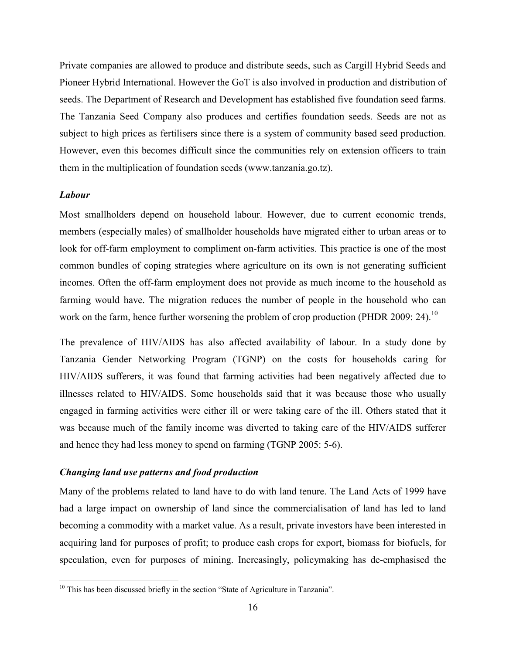Private companies are allowed to produce and distribute seeds, such as Cargill Hybrid Seeds and Pioneer Hybrid International. However the GoT is also involved in production and distribution of seeds. The Department of Research and Development has established five foundation seed farms. The Tanzania Seed Company also produces and certifies foundation seeds. Seeds are not as subject to high prices as fertilisers since there is a system of community based seed production. However, even this becomes difficult since the communities rely on extension officers to train them in the multiplication of foundation seeds (www.tanzania.go.tz).

# *Labour*

<u>.</u>

Most smallholders depend on household labour. However, due to current economic trends, members (especially males) of smallholder households have migrated either to urban areas or to look for off-farm employment to compliment on-farm activities. This practice is one of the most common bundles of coping strategies where agriculture on its own is not generating sufficient incomes. Often the off-farm employment does not provide as much income to the household as farming would have. The migration reduces the number of people in the household who can work on the farm, hence further worsening the problem of crop production (PHDR 2009: 24).<sup>10</sup>

The prevalence of HIV/AIDS has also affected availability of labour. In a study done by Tanzania Gender Networking Program (TGNP) on the costs for households caring for HIV/AIDS sufferers, it was found that farming activities had been negatively affected due to illnesses related to HIV/AIDS. Some households said that it was because those who usually engaged in farming activities were either ill or were taking care of the ill. Others stated that it was because much of the family income was diverted to taking care of the HIV/AIDS sufferer and hence they had less money to spend on farming (TGNP 2005: 5-6).

# *Changing land use patterns and food production*

Many of the problems related to land have to do with land tenure. The Land Acts of 1999 have had a large impact on ownership of land since the commercialisation of land has led to land becoming a commodity with a market value. As a result, private investors have been interested in acquiring land for purposes of profit; to produce cash crops for export, biomass for biofuels, for speculation, even for purposes of mining. Increasingly, policymaking has de-emphasised the

<sup>&</sup>lt;sup>10</sup> This has been discussed briefly in the section "State of Agriculture in Tanzania".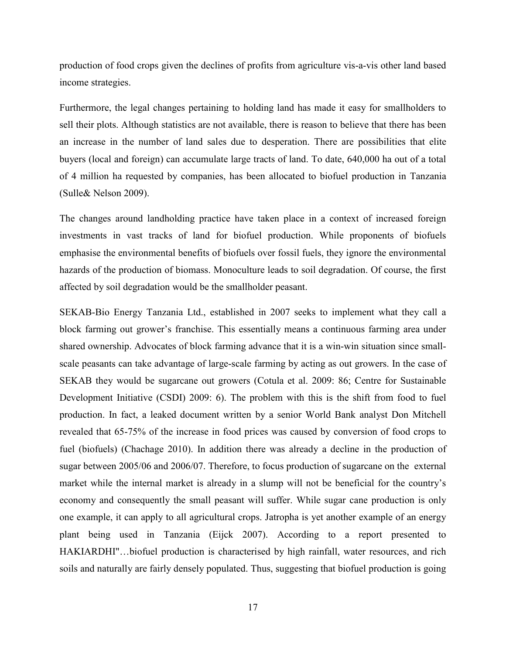production of food crops given the declines of profits from agriculture vis-a-vis other land based income strategies.

Furthermore, the legal changes pertaining to holding land has made it easy for smallholders to sell their plots. Although statistics are not available, there is reason to believe that there has been an increase in the number of land sales due to desperation. There are possibilities that elite buyers (local and foreign) can accumulate large tracts of land. To date, 640,000 ha out of a total of 4 million ha requested by companies, has been allocated to biofuel production in Tanzania (Sulle& Nelson 2009).

The changes around landholding practice have taken place in a context of increased foreign investments in vast tracks of land for biofuel production. While proponents of biofuels emphasise the environmental benefits of biofuels over fossil fuels, they ignore the environmental hazards of the production of biomass. Monoculture leads to soil degradation. Of course, the first affected by soil degradation would be the smallholder peasant.

SEKAB-Bio Energy Tanzania Ltd., established in 2007 seeks to implement what they call a block farming out grower's franchise. This essentially means a continuous farming area under shared ownership. Advocates of block farming advance that it is a win-win situation since smallscale peasants can take advantage of large-scale farming by acting as out growers. In the case of SEKAB they would be sugarcane out growers (Cotula et al. 2009: 86; Centre for Sustainable Development Initiative (CSDI) 2009: 6). The problem with this is the shift from food to fuel production. In fact, a leaked document written by a senior World Bank analyst Don Mitchell revealed that 65-75% of the increase in food prices was caused by conversion of food crops to fuel (biofuels) (Chachage 2010). In addition there was already a decline in the production of sugar between 2005/06 and 2006/07. Therefore, to focus production of sugarcane on the external market while the internal market is already in a slump will not be beneficial for the country's economy and consequently the small peasant will suffer. While sugar cane production is only one example, it can apply to all agricultural crops. Jatropha is yet another example of an energy plant being used in Tanzania (Eijck 2007). According to a report presented to HAKIARDHI"…biofuel production is characterised by high rainfall, water resources, and rich soils and naturally are fairly densely populated. Thus, suggesting that biofuel production is going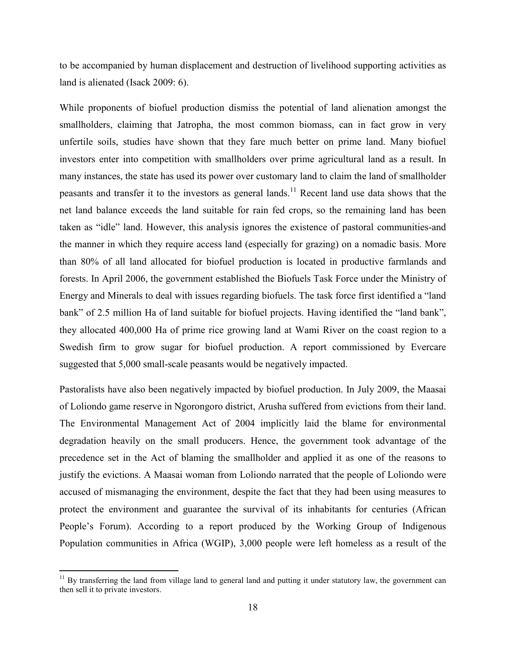to be accompanied by human displacement and destruction of livelihood supporting activities as land is alienated (Isack 2009: 6).

While proponents of biofuel production dismiss the potential of land alienation amongst the smallholders, claiming that Jatropha, the most common biomass, can in fact grow in very unfertile soils, studies have shown that they fare much better on prime land. Many biofuel investors enter into competition with smallholders over prime agricultural land as a result. In many instances, the state has used its power over customary land to claim the land of smallholder peasants and transfer it to the investors as general lands.<sup>11</sup> Recent land use data shows that the net land balance exceeds the land suitable for rain fed crops, so the remaining land has been taken as "idle" land. However, this analysis ignores the existence of pastoral communities-and the manner in which they require access land (especially for grazing) on a nomadic basis. More than 80% of all land allocated for biofuel production is located in productive farmlands and forests. In April 2006, the government established the Biofuels Task Force under the Ministry of Energy and Minerals to deal with issues regarding biofuels. The task force first identified a "land bank" of 2.5 million Ha of land suitable for biofuel projects. Having identified the "land bank", they allocated 400,000 Ha of prime rice growing land at Wami River on the coast region to a Swedish firm to grow sugar for biofuel production. A report commissioned by Evercare suggested that 5,000 small-scale peasants would be negatively impacted.

Pastoralists have also been negatively impacted by biofuel production. In July 2009, the Maasai of Loliondo game reserve in Ngorongoro district, Arusha suffered from evictions from their land. The Environmental Management Act of 2004 implicitly laid the blame for environmental degradation heavily on the small producers. Hence, the government took advantage of the precedence set in the Act of blaming the smallholder and applied it as one of the reasons to justify the evictions. A Maasai woman from Loliondo narrated that the people of Loliondo were accused of mismanaging the environment, despite the fact that they had been using measures to protect the environment and guarantee the survival of its inhabitants for centuries (African People's Forum). According to a report produced by the Working Group of Indigenous Population communities in Africa (WGIP), 3,000 people were left homeless as a result of the

<u>.</u>

 $11$  By transferring the land from village land to general land and putting it under statutory law, the government can then sell it to private investors.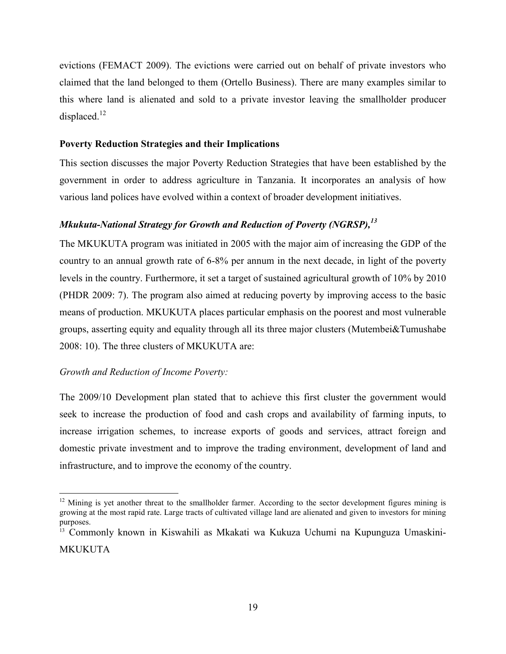evictions (FEMACT 2009). The evictions were carried out on behalf of private investors who claimed that the land belonged to them (Ortello Business). There are many examples similar to this where land is alienated and sold to a private investor leaving the smallholder producer displaced.<sup>12</sup>

# **Poverty Reduction Strategies and their Implications**

This section discusses the major Poverty Reduction Strategies that have been established by the government in order to address agriculture in Tanzania. It incorporates an analysis of how various land polices have evolved within a context of broader development initiatives.

# *Mkukuta-National Strategy for Growth and Reduction of Poverty (NGRSP),<sup>13</sup>*

The MKUKUTA program was initiated in 2005 with the major aim of increasing the GDP of the country to an annual growth rate of 6-8% per annum in the next decade, in light of the poverty levels in the country. Furthermore, it set a target of sustained agricultural growth of 10% by 2010 (PHDR 2009: 7). The program also aimed at reducing poverty by improving access to the basic means of production. MKUKUTA places particular emphasis on the poorest and most vulnerable groups, asserting equity and equality through all its three major clusters (Mutembei&Tumushabe 2008: 10). The three clusters of MKUKUTA are:

# *Growth and Reduction of Income Poverty:*

The 2009/10 Development plan stated that to achieve this first cluster the government would seek to increase the production of food and cash crops and availability of farming inputs, to increase irrigation schemes, to increase exports of goods and services, attract foreign and domestic private investment and to improve the trading environment, development of land and infrastructure, and to improve the economy of the country.

<sup>-</sup> $12$  Mining is yet another threat to the smallholder farmer. According to the sector development figures mining is growing at the most rapid rate. Large tracts of cultivated village land are alienated and given to investors for mining purposes.

<sup>&</sup>lt;sup>13</sup> Commonly known in Kiswahili as Mkakati wa Kukuza Uchumi na Kupunguza Umaskini-MKUKUTA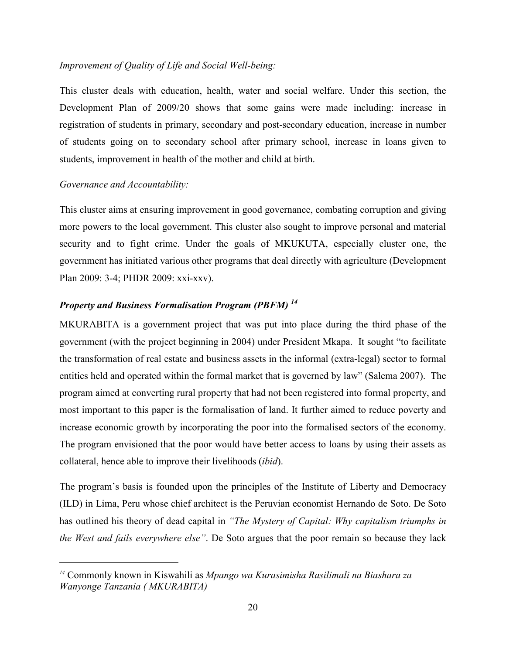# *Improvement of Quality of Life and Social Well-being:*

This cluster deals with education, health, water and social welfare. Under this section, the Development Plan of 2009/20 shows that some gains were made including: increase in registration of students in primary, secondary and post-secondary education, increase in number of students going on to secondary school after primary school, increase in loans given to students, improvement in health of the mother and child at birth.

# *Governance and Accountability:*

-

This cluster aims at ensuring improvement in good governance, combating corruption and giving more powers to the local government. This cluster also sought to improve personal and material security and to fight crime. Under the goals of MKUKUTA, especially cluster one, the government has initiated various other programs that deal directly with agriculture (Development Plan 2009: 3-4; PHDR 2009: xxi-xxv).

# *Property and Business Formalisation Program (PBFM) <sup>14</sup>*

MKURABITA is a government project that was put into place during the third phase of the government (with the project beginning in 2004) under President Mkapa. It sought "to facilitate the transformation of real estate and business assets in the informal (extra-legal) sector to formal entities held and operated within the formal market that is governed by law" (Salema 2007). The program aimed at converting rural property that had not been registered into formal property, and most important to this paper is the formalisation of land. It further aimed to reduce poverty and increase economic growth by incorporating the poor into the formalised sectors of the economy. The program envisioned that the poor would have better access to loans by using their assets as collateral, hence able to improve their livelihoods (*ibid*).

The program's basis is founded upon the principles of the Institute of Liberty and Democracy (ILD) in Lima, Peru whose chief architect is the Peruvian economist Hernando de Soto. De Soto has outlined his theory of dead capital in *"The Mystery of Capital: Why capitalism triumphs in the West and fails everywhere else"*. De Soto argues that the poor remain so because they lack

*<sup>14</sup>* Commonly known in Kiswahili as *Mpango wa Kurasimisha Rasilimali na Biashara za Wanyonge Tanzania ( MKURABITA)*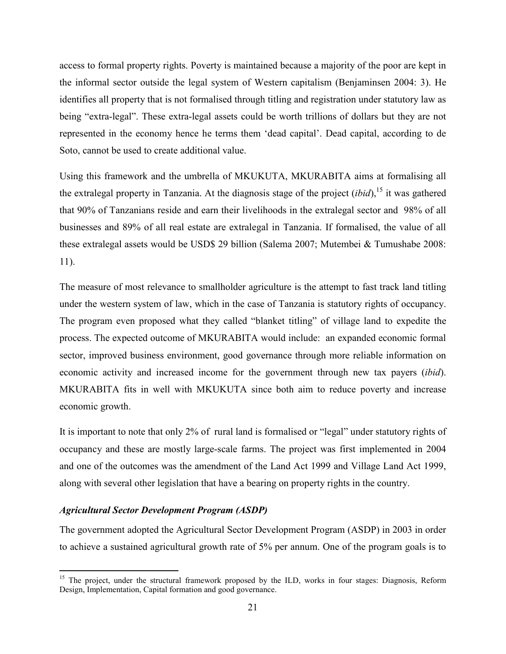access to formal property rights. Poverty is maintained because a majority of the poor are kept in the informal sector outside the legal system of Western capitalism (Benjaminsen 2004: 3). He identifies all property that is not formalised through titling and registration under statutory law as being "extra-legal". These extra-legal assets could be worth trillions of dollars but they are not represented in the economy hence he terms them 'dead capital'. Dead capital, according to de Soto, cannot be used to create additional value.

Using this framework and the umbrella of MKUKUTA, MKURABITA aims at formalising all the extralegal property in Tanzania. At the diagnosis stage of the project  $(ibid)$ , <sup>15</sup> it was gathered that 90% of Tanzanians reside and earn their livelihoods in the extralegal sector and 98% of all businesses and 89% of all real estate are extralegal in Tanzania. If formalised, the value of all these extralegal assets would be USD\$ 29 billion (Salema 2007; Mutembei & Tumushabe 2008: 11).

The measure of most relevance to smallholder agriculture is the attempt to fast track land titling under the western system of law, which in the case of Tanzania is statutory rights of occupancy. The program even proposed what they called "blanket titling" of village land to expedite the process. The expected outcome of MKURABITA would include: an expanded economic formal sector, improved business environment, good governance through more reliable information on economic activity and increased income for the government through new tax payers (*ibid*). MKURABITA fits in well with MKUKUTA since both aim to reduce poverty and increase economic growth.

It is important to note that only 2% of rural land is formalised or "legal" under statutory rights of occupancy and these are mostly large-scale farms. The project was first implemented in 2004 and one of the outcomes was the amendment of the Land Act 1999 and Village Land Act 1999, along with several other legislation that have a bearing on property rights in the country.

# *Agricultural Sector Development Program (ASDP)*

<u>.</u>

The government adopted the Agricultural Sector Development Program (ASDP) in 2003 in order to achieve a sustained agricultural growth rate of 5% per annum. One of the program goals is to

<sup>&</sup>lt;sup>15</sup> The project, under the structural framework proposed by the ILD, works in four stages: Diagnosis, Reform Design, Implementation, Capital formation and good governance.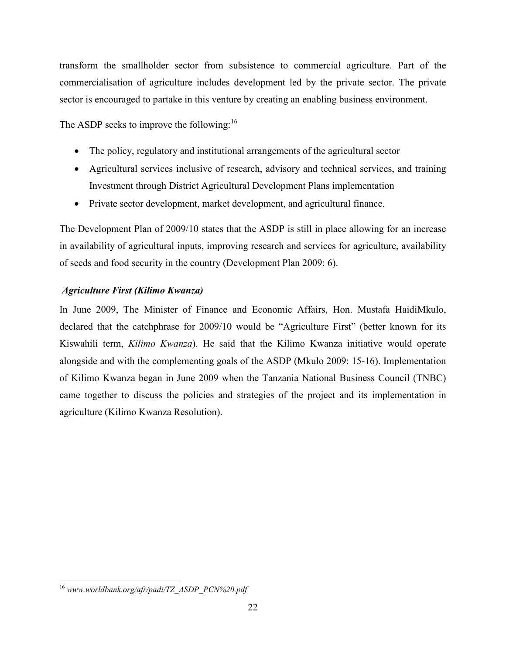transform the smallholder sector from subsistence to commercial agriculture. Part of the commercialisation of agriculture includes development led by the private sector. The private sector is encouraged to partake in this venture by creating an enabling business environment.

The ASDP seeks to improve the following:<sup>16</sup>

- The policy, regulatory and institutional arrangements of the agricultural sector
- Agricultural services inclusive of research, advisory and technical services, and training Investment through District Agricultural Development Plans implementation
- Private sector development, market development, and agricultural finance.

The Development Plan of 2009/10 states that the ASDP is still in place allowing for an increase in availability of agricultural inputs, improving research and services for agriculture, availability of seeds and food security in the country (Development Plan 2009: 6).

# *Agriculture First (Kilimo Kwanza)*

In June 2009, The Minister of Finance and Economic Affairs, Hon. Mustafa HaidiMkulo, declared that the catchphrase for 2009/10 would be "Agriculture First" (better known for its Kiswahili term, *Kilimo Kwanza*). He said that the Kilimo Kwanza initiative would operate alongside and with the complementing goals of the ASDP (Mkulo 2009: 15-16). Implementation of Kilimo Kwanza began in June 2009 when the Tanzania National Business Council (TNBC) came together to discuss the policies and strategies of the project and its implementation in agriculture (Kilimo Kwanza Resolution).

<sup>&</sup>lt;u>.</u> <sup>16</sup> *www.worldbank.org/afr/padi/TZ\_ASDP\_PCN%20.pdf*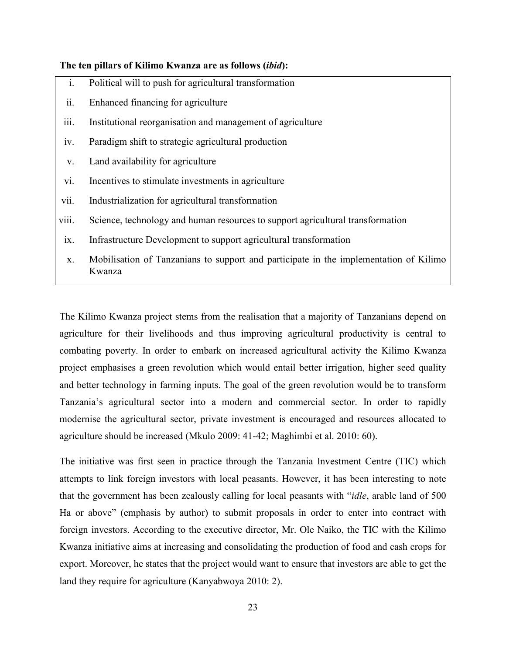#### **The ten pillars of Kilimo Kwanza are as follows (***ibid***):**

- i. Political will to push for agricultural transformation
- ii. Enhanced financing for agriculture
- iii. Institutional reorganisation and management of agriculture
- iv. Paradigm shift to strategic agricultural production
- v. Land availability for agriculture
- vi. Incentives to stimulate investments in agriculture
- vii. Industrialization for agricultural transformation
- viii. Science, technology and human resources to support agricultural transformation
- ix. Infrastructure Development to support agricultural transformation
- x. Mobilisation of Tanzanians to support and participate in the implementation of Kilimo Kwanza

The Kilimo Kwanza project stems from the realisation that a majority of Tanzanians depend on agriculture for their livelihoods and thus improving agricultural productivity is central to combating poverty. In order to embark on increased agricultural activity the Kilimo Kwanza project emphasises a green revolution which would entail better irrigation, higher seed quality and better technology in farming inputs. The goal of the green revolution would be to transform Tanzania's agricultural sector into a modern and commercial sector. In order to rapidly modernise the agricultural sector, private investment is encouraged and resources allocated to agriculture should be increased (Mkulo 2009: 41-42; Maghimbi et al. 2010: 60).

The initiative was first seen in practice through the Tanzania Investment Centre (TIC) which attempts to link foreign investors with local peasants. However, it has been interesting to note that the government has been zealously calling for local peasants with "*idle*, arable land of 500 Ha or above" (emphasis by author) to submit proposals in order to enter into contract with foreign investors. According to the executive director, Mr. Ole Naiko, the TIC with the Kilimo Kwanza initiative aims at increasing and consolidating the production of food and cash crops for export. Moreover, he states that the project would want to ensure that investors are able to get the land they require for agriculture (Kanyabwoya 2010: 2).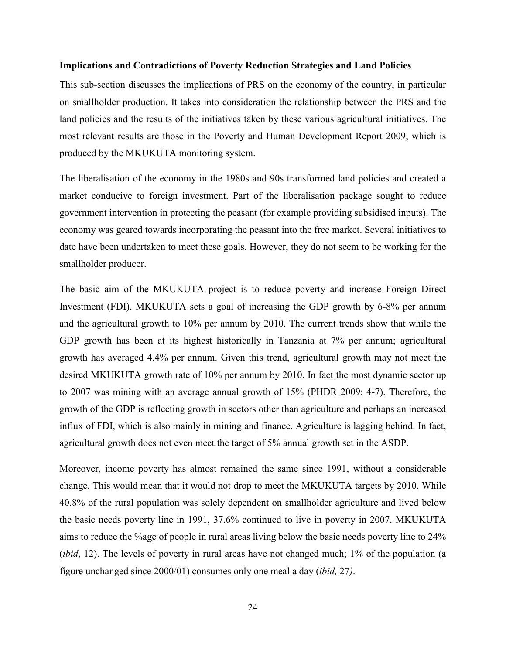#### **Implications and Contradictions of Poverty Reduction Strategies and Land Policies**

This sub-section discusses the implications of PRS on the economy of the country, in particular on smallholder production. It takes into consideration the relationship between the PRS and the land policies and the results of the initiatives taken by these various agricultural initiatives. The most relevant results are those in the Poverty and Human Development Report 2009, which is produced by the MKUKUTA monitoring system.

The liberalisation of the economy in the 1980s and 90s transformed land policies and created a market conducive to foreign investment. Part of the liberalisation package sought to reduce government intervention in protecting the peasant (for example providing subsidised inputs). The economy was geared towards incorporating the peasant into the free market. Several initiatives to date have been undertaken to meet these goals. However, they do not seem to be working for the smallholder producer.

The basic aim of the MKUKUTA project is to reduce poverty and increase Foreign Direct Investment (FDI). MKUKUTA sets a goal of increasing the GDP growth by 6-8% per annum and the agricultural growth to 10% per annum by 2010. The current trends show that while the GDP growth has been at its highest historically in Tanzania at 7% per annum; agricultural growth has averaged 4.4% per annum. Given this trend, agricultural growth may not meet the desired MKUKUTA growth rate of 10% per annum by 2010. In fact the most dynamic sector up to 2007 was mining with an average annual growth of 15% (PHDR 2009: 4-7). Therefore, the growth of the GDP is reflecting growth in sectors other than agriculture and perhaps an increased influx of FDI, which is also mainly in mining and finance. Agriculture is lagging behind. In fact, agricultural growth does not even meet the target of 5% annual growth set in the ASDP.

Moreover, income poverty has almost remained the same since 1991, without a considerable change. This would mean that it would not drop to meet the MKUKUTA targets by 2010. While 40.8% of the rural population was solely dependent on smallholder agriculture and lived below the basic needs poverty line in 1991, 37.6% continued to live in poverty in 2007. MKUKUTA aims to reduce the %age of people in rural areas living below the basic needs poverty line to 24% (*ibid*, 12). The levels of poverty in rural areas have not changed much; 1% of the population (a figure unchanged since 2000/01) consumes only one meal a day (*ibid,* 27*)*.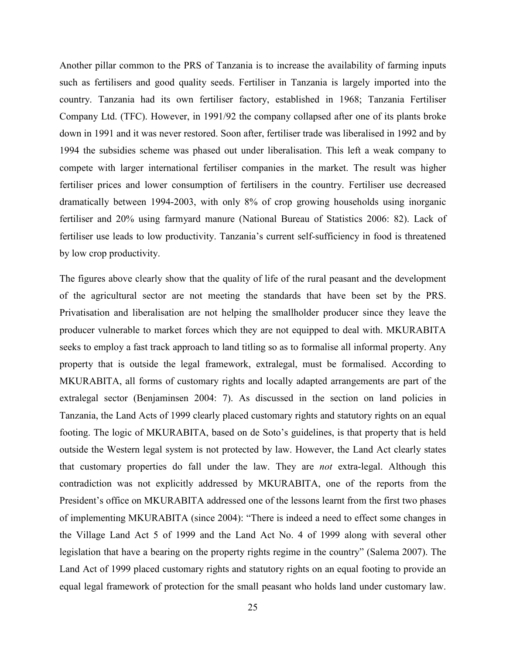Another pillar common to the PRS of Tanzania is to increase the availability of farming inputs such as fertilisers and good quality seeds. Fertiliser in Tanzania is largely imported into the country. Tanzania had its own fertiliser factory, established in 1968; Tanzania Fertiliser Company Ltd. (TFC). However, in 1991/92 the company collapsed after one of its plants broke down in 1991 and it was never restored. Soon after, fertiliser trade was liberalised in 1992 and by 1994 the subsidies scheme was phased out under liberalisation. This left a weak company to compete with larger international fertiliser companies in the market. The result was higher fertiliser prices and lower consumption of fertilisers in the country. Fertiliser use decreased dramatically between 1994-2003, with only 8% of crop growing households using inorganic fertiliser and 20% using farmyard manure (National Bureau of Statistics 2006: 82). Lack of fertiliser use leads to low productivity. Tanzania's current self-sufficiency in food is threatened by low crop productivity.

The figures above clearly show that the quality of life of the rural peasant and the development of the agricultural sector are not meeting the standards that have been set by the PRS. Privatisation and liberalisation are not helping the smallholder producer since they leave the producer vulnerable to market forces which they are not equipped to deal with. MKURABITA seeks to employ a fast track approach to land titling so as to formalise all informal property. Any property that is outside the legal framework, extralegal, must be formalised. According to MKURABITA, all forms of customary rights and locally adapted arrangements are part of the extralegal sector (Benjaminsen 2004: 7). As discussed in the section on land policies in Tanzania, the Land Acts of 1999 clearly placed customary rights and statutory rights on an equal footing. The logic of MKURABITA, based on de Soto's guidelines, is that property that is held outside the Western legal system is not protected by law. However, the Land Act clearly states that customary properties do fall under the law. They are *not* extra-legal. Although this contradiction was not explicitly addressed by MKURABITA, one of the reports from the President's office on MKURABITA addressed one of the lessons learnt from the first two phases of implementing MKURABITA (since 2004): "There is indeed a need to effect some changes in the Village Land Act 5 of 1999 and the Land Act No. 4 of 1999 along with several other legislation that have a bearing on the property rights regime in the country" (Salema 2007). The Land Act of 1999 placed customary rights and statutory rights on an equal footing to provide an equal legal framework of protection for the small peasant who holds land under customary law.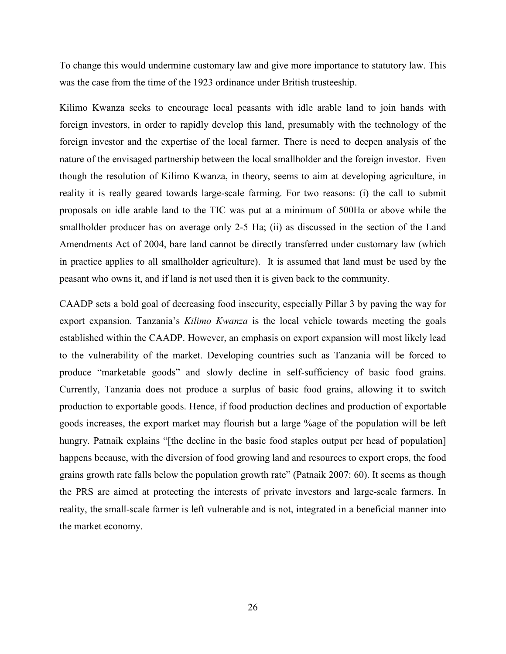To change this would undermine customary law and give more importance to statutory law. This was the case from the time of the 1923 ordinance under British trusteeship.

Kilimo Kwanza seeks to encourage local peasants with idle arable land to join hands with foreign investors, in order to rapidly develop this land, presumably with the technology of the foreign investor and the expertise of the local farmer. There is need to deepen analysis of the nature of the envisaged partnership between the local smallholder and the foreign investor. Even though the resolution of Kilimo Kwanza, in theory, seems to aim at developing agriculture, in reality it is really geared towards large-scale farming. For two reasons: (i) the call to submit proposals on idle arable land to the TIC was put at a minimum of 500Ha or above while the smallholder producer has on average only 2-5 Ha; (ii) as discussed in the section of the Land Amendments Act of 2004, bare land cannot be directly transferred under customary law (which in practice applies to all smallholder agriculture). It is assumed that land must be used by the peasant who owns it, and if land is not used then it is given back to the community.

CAADP sets a bold goal of decreasing food insecurity, especially Pillar 3 by paving the way for export expansion. Tanzania's *Kilimo Kwanza* is the local vehicle towards meeting the goals established within the CAADP. However, an emphasis on export expansion will most likely lead to the vulnerability of the market. Developing countries such as Tanzania will be forced to produce "marketable goods" and slowly decline in self-sufficiency of basic food grains. Currently, Tanzania does not produce a surplus of basic food grains, allowing it to switch production to exportable goods. Hence, if food production declines and production of exportable goods increases, the export market may flourish but a large %age of the population will be left hungry. Patnaik explains "[the decline in the basic food staples output per head of population] happens because, with the diversion of food growing land and resources to export crops, the food grains growth rate falls below the population growth rate" (Patnaik 2007: 60). It seems as though the PRS are aimed at protecting the interests of private investors and large-scale farmers. In reality, the small-scale farmer is left vulnerable and is not, integrated in a beneficial manner into the market economy.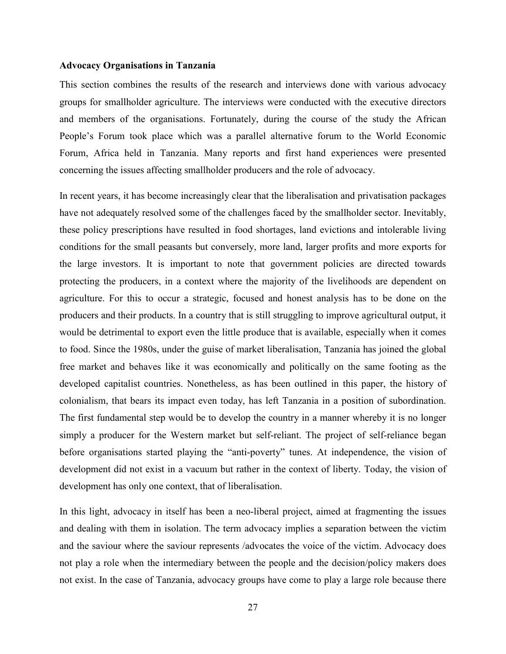#### **Advocacy Organisations in Tanzania**

This section combines the results of the research and interviews done with various advocacy groups for smallholder agriculture. The interviews were conducted with the executive directors and members of the organisations. Fortunately, during the course of the study the African People's Forum took place which was a parallel alternative forum to the World Economic Forum, Africa held in Tanzania. Many reports and first hand experiences were presented concerning the issues affecting smallholder producers and the role of advocacy.

In recent years, it has become increasingly clear that the liberalisation and privatisation packages have not adequately resolved some of the challenges faced by the smallholder sector. Inevitably, these policy prescriptions have resulted in food shortages, land evictions and intolerable living conditions for the small peasants but conversely, more land, larger profits and more exports for the large investors. It is important to note that government policies are directed towards protecting the producers, in a context where the majority of the livelihoods are dependent on agriculture. For this to occur a strategic, focused and honest analysis has to be done on the producers and their products. In a country that is still struggling to improve agricultural output, it would be detrimental to export even the little produce that is available, especially when it comes to food. Since the 1980s, under the guise of market liberalisation, Tanzania has joined the global free market and behaves like it was economically and politically on the same footing as the developed capitalist countries. Nonetheless, as has been outlined in this paper, the history of colonialism, that bears its impact even today, has left Tanzania in a position of subordination. The first fundamental step would be to develop the country in a manner whereby it is no longer simply a producer for the Western market but self-reliant. The project of self-reliance began before organisations started playing the "anti-poverty" tunes. At independence, the vision of development did not exist in a vacuum but rather in the context of liberty. Today, the vision of development has only one context, that of liberalisation.

In this light, advocacy in itself has been a neo-liberal project, aimed at fragmenting the issues and dealing with them in isolation. The term advocacy implies a separation between the victim and the saviour where the saviour represents /advocates the voice of the victim. Advocacy does not play a role when the intermediary between the people and the decision/policy makers does not exist. In the case of Tanzania, advocacy groups have come to play a large role because there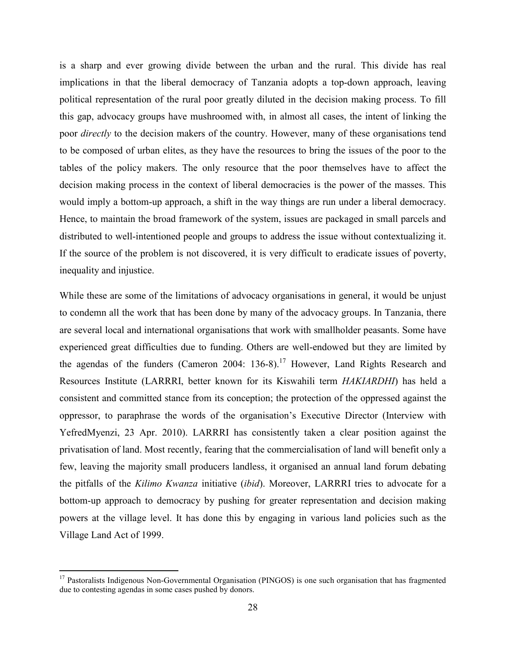is a sharp and ever growing divide between the urban and the rural. This divide has real implications in that the liberal democracy of Tanzania adopts a top-down approach, leaving political representation of the rural poor greatly diluted in the decision making process. To fill this gap, advocacy groups have mushroomed with, in almost all cases, the intent of linking the poor *directly* to the decision makers of the country. However, many of these organisations tend to be composed of urban elites, as they have the resources to bring the issues of the poor to the tables of the policy makers. The only resource that the poor themselves have to affect the decision making process in the context of liberal democracies is the power of the masses. This would imply a bottom-up approach, a shift in the way things are run under a liberal democracy. Hence, to maintain the broad framework of the system, issues are packaged in small parcels and distributed to well-intentioned people and groups to address the issue without contextualizing it. If the source of the problem is not discovered, it is very difficult to eradicate issues of poverty, inequality and injustice.

While these are some of the limitations of advocacy organisations in general, it would be unjust to condemn all the work that has been done by many of the advocacy groups. In Tanzania, there are several local and international organisations that work with smallholder peasants. Some have experienced great difficulties due to funding. Others are well-endowed but they are limited by the agendas of the funders (Cameron 2004:  $136-8$ ).<sup>17</sup> However, Land Rights Research and Resources Institute (LARRRI, better known for its Kiswahili term *HAKIARDHI*) has held a consistent and committed stance from its conception; the protection of the oppressed against the oppressor, to paraphrase the words of the organisation's Executive Director (Interview with YefredMyenzi, 23 Apr. 2010). LARRRI has consistently taken a clear position against the privatisation of land. Most recently, fearing that the commercialisation of land will benefit only a few, leaving the majority small producers landless, it organised an annual land forum debating the pitfalls of the *Kilimo Kwanza* initiative (*ibid*). Moreover, LARRRI tries to advocate for a bottom-up approach to democracy by pushing for greater representation and decision making powers at the village level. It has done this by engaging in various land policies such as the Village Land Act of 1999.

<u>.</u>

<sup>&</sup>lt;sup>17</sup> Pastoralists Indigenous Non-Governmental Organisation (PINGOS) is one such organisation that has fragmented due to contesting agendas in some cases pushed by donors.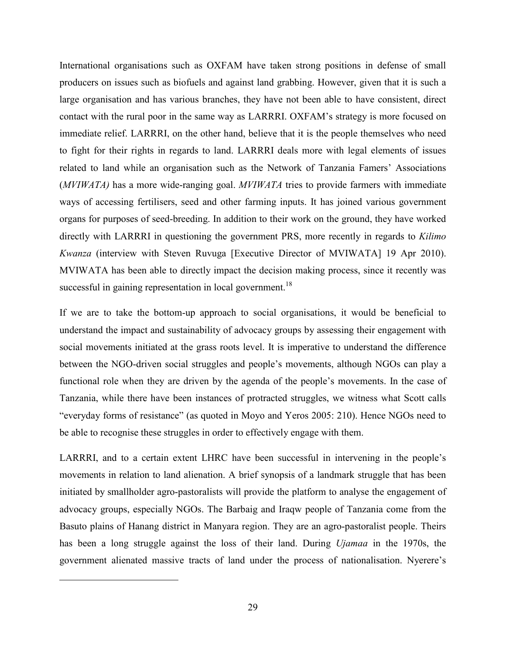International organisations such as OXFAM have taken strong positions in defense of small producers on issues such as biofuels and against land grabbing. However, given that it is such a large organisation and has various branches, they have not been able to have consistent, direct contact with the rural poor in the same way as LARRRI. OXFAM's strategy is more focused on immediate relief. LARRRI, on the other hand, believe that it is the people themselves who need to fight for their rights in regards to land. LARRRI deals more with legal elements of issues related to land while an organisation such as the Network of Tanzania Famers' Associations (*MVIWATA)* has a more wide-ranging goal. *MVIWATA* tries to provide farmers with immediate ways of accessing fertilisers, seed and other farming inputs. It has joined various government organs for purposes of seed-breeding. In addition to their work on the ground, they have worked directly with LARRRI in questioning the government PRS, more recently in regards to *Kilimo Kwanza* (interview with Steven Ruvuga [Executive Director of MVIWATA] 19 Apr 2010). MVIWATA has been able to directly impact the decision making process, since it recently was successful in gaining representation in local government.<sup>18</sup>

If we are to take the bottom-up approach to social organisations, it would be beneficial to understand the impact and sustainability of advocacy groups by assessing their engagement with social movements initiated at the grass roots level. It is imperative to understand the difference between the NGO-driven social struggles and people's movements, although NGOs can play a functional role when they are driven by the agenda of the people's movements. In the case of Tanzania, while there have been instances of protracted struggles, we witness what Scott calls "everyday forms of resistance" (as quoted in Moyo and Yeros 2005: 210). Hence NGOs need to be able to recognise these struggles in order to effectively engage with them.

LARRRI, and to a certain extent LHRC have been successful in intervening in the people's movements in relation to land alienation. A brief synopsis of a landmark struggle that has been initiated by smallholder agro-pastoralists will provide the platform to analyse the engagement of advocacy groups, especially NGOs. The Barbaig and Iraqw people of Tanzania come from the Basuto plains of Hanang district in Manyara region. They are an agro-pastoralist people. Theirs has been a long struggle against the loss of their land. During *Ujamaa* in the 1970s, the government alienated massive tracts of land under the process of nationalisation. Nyerere's

<u>.</u>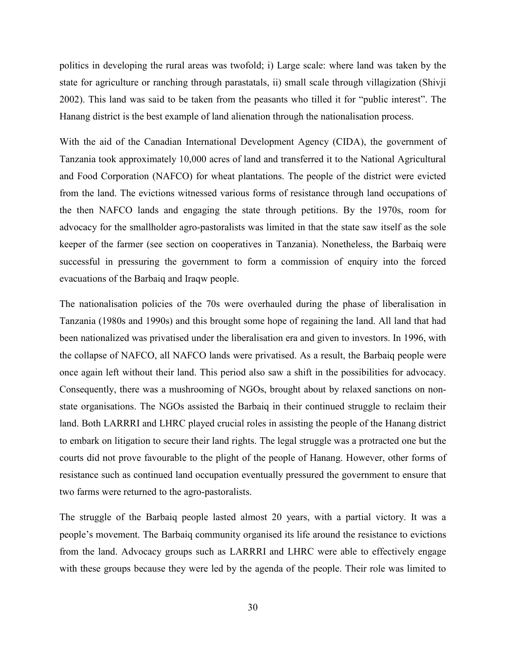politics in developing the rural areas was twofold; i) Large scale: where land was taken by the state for agriculture or ranching through parastatals, ii) small scale through villagization (Shivji 2002). This land was said to be taken from the peasants who tilled it for "public interest". The Hanang district is the best example of land alienation through the nationalisation process.

With the aid of the Canadian International Development Agency (CIDA), the government of Tanzania took approximately 10,000 acres of land and transferred it to the National Agricultural and Food Corporation (NAFCO) for wheat plantations. The people of the district were evicted from the land. The evictions witnessed various forms of resistance through land occupations of the then NAFCO lands and engaging the state through petitions. By the 1970s, room for advocacy for the smallholder agro-pastoralists was limited in that the state saw itself as the sole keeper of the farmer (see section on cooperatives in Tanzania). Nonetheless, the Barbaiq were successful in pressuring the government to form a commission of enquiry into the forced evacuations of the Barbaiq and Iraqw people.

The nationalisation policies of the 70s were overhauled during the phase of liberalisation in Tanzania (1980s and 1990s) and this brought some hope of regaining the land. All land that had been nationalized was privatised under the liberalisation era and given to investors. In 1996, with the collapse of NAFCO, all NAFCO lands were privatised. As a result, the Barbaiq people were once again left without their land. This period also saw a shift in the possibilities for advocacy. Consequently, there was a mushrooming of NGOs, brought about by relaxed sanctions on nonstate organisations. The NGOs assisted the Barbaiq in their continued struggle to reclaim their land. Both LARRRI and LHRC played crucial roles in assisting the people of the Hanang district to embark on litigation to secure their land rights. The legal struggle was a protracted one but the courts did not prove favourable to the plight of the people of Hanang. However, other forms of resistance such as continued land occupation eventually pressured the government to ensure that two farms were returned to the agro-pastoralists.

The struggle of the Barbaiq people lasted almost 20 years, with a partial victory. It was a people's movement. The Barbaiq community organised its life around the resistance to evictions from the land. Advocacy groups such as LARRRI and LHRC were able to effectively engage with these groups because they were led by the agenda of the people. Their role was limited to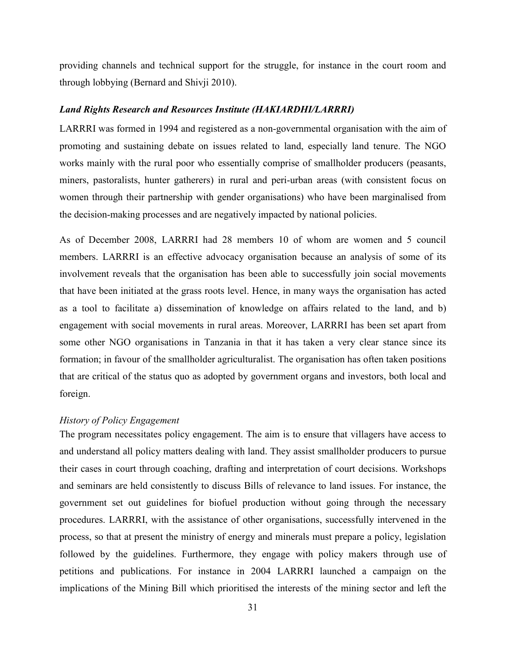providing channels and technical support for the struggle, for instance in the court room and through lobbying (Bernard and Shivji 2010).

#### *Land Rights Research and Resources Institute (HAKIARDHI/LARRRI)*

LARRRI was formed in 1994 and registered as a non-governmental organisation with the aim of promoting and sustaining debate on issues related to land, especially land tenure. The NGO works mainly with the rural poor who essentially comprise of smallholder producers (peasants, miners, pastoralists, hunter gatherers) in rural and peri-urban areas (with consistent focus on women through their partnership with gender organisations) who have been marginalised from the decision-making processes and are negatively impacted by national policies.

As of December 2008, LARRRI had 28 members 10 of whom are women and 5 council members. LARRRI is an effective advocacy organisation because an analysis of some of its involvement reveals that the organisation has been able to successfully join social movements that have been initiated at the grass roots level. Hence, in many ways the organisation has acted as a tool to facilitate a) dissemination of knowledge on affairs related to the land, and b) engagement with social movements in rural areas. Moreover, LARRRI has been set apart from some other NGO organisations in Tanzania in that it has taken a very clear stance since its formation; in favour of the smallholder agriculturalist. The organisation has often taken positions that are critical of the status quo as adopted by government organs and investors, both local and foreign.

## *History of Policy Engagement*

The program necessitates policy engagement. The aim is to ensure that villagers have access to and understand all policy matters dealing with land. They assist smallholder producers to pursue their cases in court through coaching, drafting and interpretation of court decisions. Workshops and seminars are held consistently to discuss Bills of relevance to land issues. For instance, the government set out guidelines for biofuel production without going through the necessary procedures. LARRRI, with the assistance of other organisations, successfully intervened in the process, so that at present the ministry of energy and minerals must prepare a policy, legislation followed by the guidelines. Furthermore, they engage with policy makers through use of petitions and publications. For instance in 2004 LARRRI launched a campaign on the implications of the Mining Bill which prioritised the interests of the mining sector and left the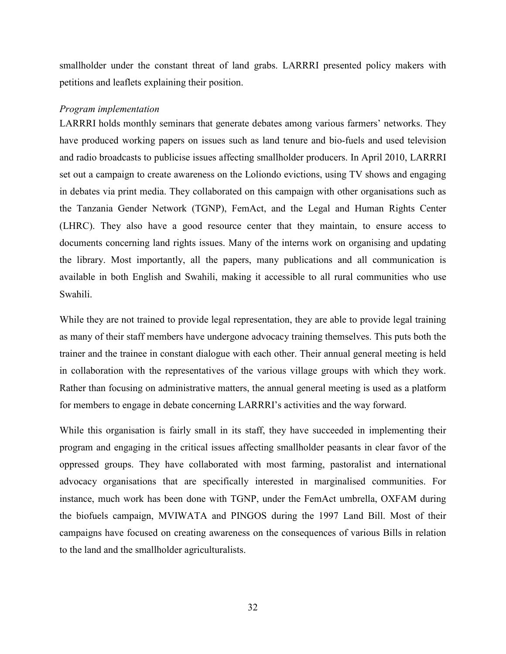smallholder under the constant threat of land grabs. LARRRI presented policy makers with petitions and leaflets explaining their position.

#### *Program implementation*

LARRRI holds monthly seminars that generate debates among various farmers' networks. They have produced working papers on issues such as land tenure and bio-fuels and used television and radio broadcasts to publicise issues affecting smallholder producers. In April 2010, LARRRI set out a campaign to create awareness on the Loliondo evictions, using TV shows and engaging in debates via print media. They collaborated on this campaign with other organisations such as the Tanzania Gender Network (TGNP), FemAct, and the Legal and Human Rights Center (LHRC). They also have a good resource center that they maintain, to ensure access to documents concerning land rights issues. Many of the interns work on organising and updating the library. Most importantly, all the papers, many publications and all communication is available in both English and Swahili, making it accessible to all rural communities who use Swahili.

While they are not trained to provide legal representation, they are able to provide legal training as many of their staff members have undergone advocacy training themselves. This puts both the trainer and the trainee in constant dialogue with each other. Their annual general meeting is held in collaboration with the representatives of the various village groups with which they work. Rather than focusing on administrative matters, the annual general meeting is used as a platform for members to engage in debate concerning LARRRI's activities and the way forward.

While this organisation is fairly small in its staff, they have succeeded in implementing their program and engaging in the critical issues affecting smallholder peasants in clear favor of the oppressed groups. They have collaborated with most farming, pastoralist and international advocacy organisations that are specifically interested in marginalised communities. For instance, much work has been done with TGNP, under the FemAct umbrella, OXFAM during the biofuels campaign, MVIWATA and PINGOS during the 1997 Land Bill. Most of their campaigns have focused on creating awareness on the consequences of various Bills in relation to the land and the smallholder agriculturalists.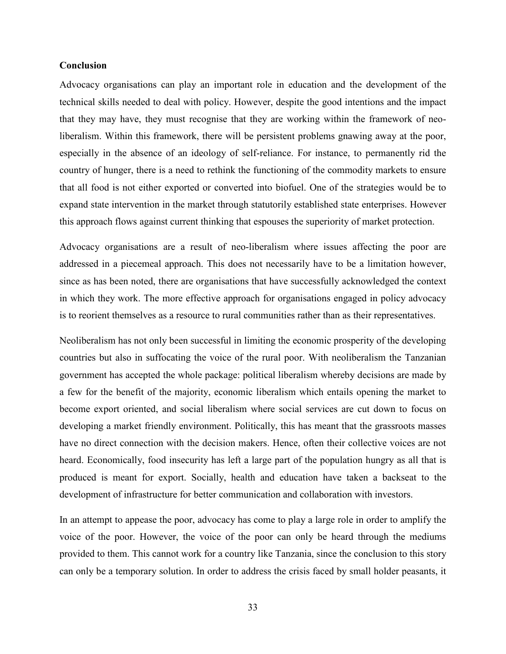# **Conclusion**

Advocacy organisations can play an important role in education and the development of the technical skills needed to deal with policy. However, despite the good intentions and the impact that they may have, they must recognise that they are working within the framework of neoliberalism. Within this framework, there will be persistent problems gnawing away at the poor, especially in the absence of an ideology of self-reliance. For instance, to permanently rid the country of hunger, there is a need to rethink the functioning of the commodity markets to ensure that all food is not either exported or converted into biofuel. One of the strategies would be to expand state intervention in the market through statutorily established state enterprises. However this approach flows against current thinking that espouses the superiority of market protection.

Advocacy organisations are a result of neo-liberalism where issues affecting the poor are addressed in a piecemeal approach. This does not necessarily have to be a limitation however, since as has been noted, there are organisations that have successfully acknowledged the context in which they work. The more effective approach for organisations engaged in policy advocacy is to reorient themselves as a resource to rural communities rather than as their representatives.

Neoliberalism has not only been successful in limiting the economic prosperity of the developing countries but also in suffocating the voice of the rural poor. With neoliberalism the Tanzanian government has accepted the whole package: political liberalism whereby decisions are made by a few for the benefit of the majority, economic liberalism which entails opening the market to become export oriented, and social liberalism where social services are cut down to focus on developing a market friendly environment. Politically, this has meant that the grassroots masses have no direct connection with the decision makers. Hence, often their collective voices are not heard. Economically, food insecurity has left a large part of the population hungry as all that is produced is meant for export. Socially, health and education have taken a backseat to the development of infrastructure for better communication and collaboration with investors.

In an attempt to appease the poor, advocacy has come to play a large role in order to amplify the voice of the poor. However, the voice of the poor can only be heard through the mediums provided to them. This cannot work for a country like Tanzania, since the conclusion to this story can only be a temporary solution. In order to address the crisis faced by small holder peasants, it

33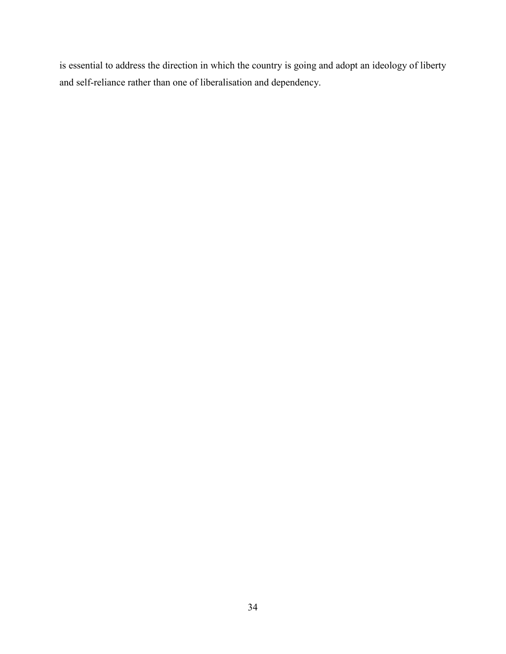is essential to address the direction in which the country is going and adopt an ideology of liberty and self-reliance rather than one of liberalisation and dependency.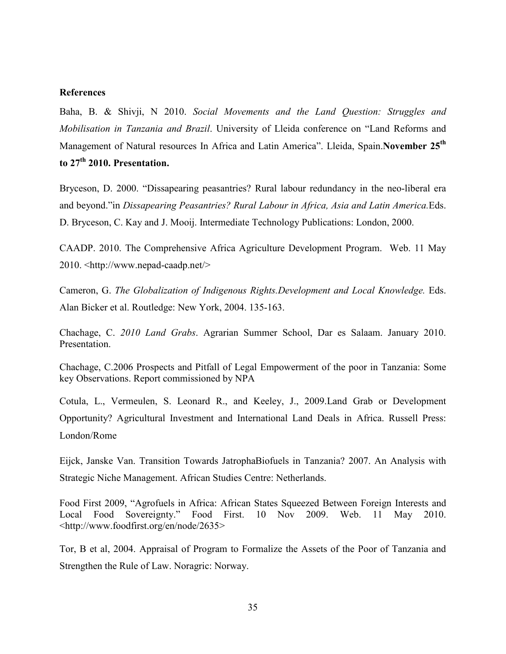### **References**

Baha, B. & Shivji, N 2010. *Social Movements and the Land Question: Struggles and Mobilisation in Tanzania and Brazil*. University of Lleida conference on "Land Reforms and Management of Natural resources In Africa and Latin America". Lleida, Spain.**November 25th to 27th 2010. Presentation.**

Bryceson, D. 2000. "Dissapearing peasantries? Rural labour redundancy in the neo-liberal era and beyond."in *Dissapearing Peasantries? Rural Labour in Africa, Asia and Latin America.*Eds. D. Bryceson, C. Kay and J. Mooij. Intermediate Technology Publications: London, 2000.

CAADP. 2010. The Comprehensive Africa Agriculture Development Program. Web. 11 May 2010. <http://www.nepad-caadp.net/>

Cameron, G. *The Globalization of Indigenous Rights.Development and Local Knowledge.* Eds. Alan Bicker et al. Routledge: New York, 2004. 135-163.

Chachage, C. *2010 Land Grabs*. Agrarian Summer School, Dar es Salaam. January 2010. Presentation.

Chachage, C.2006 Prospects and Pitfall of Legal Empowerment of the poor in Tanzania: Some key Observations. Report commissioned by NPA

Cotula, L., Vermeulen, S. Leonard R., and Keeley, J., 2009.Land Grab or Development Opportunity? Agricultural Investment and International Land Deals in Africa. Russell Press: London/Rome

Eijck, Janske Van. Transition Towards JatrophaBiofuels in Tanzania? 2007. An Analysis with Strategic Niche Management. African Studies Centre: Netherlands.

Food First 2009, "Agrofuels in Africa: African States Squeezed Between Foreign Interests and Local Food Sovereignty." Food First. 10 Nov 2009. Web. 11 May 2010. <http://www.foodfirst.org/en/node/2635>

Tor, B et al, 2004. Appraisal of Program to Formalize the Assets of the Poor of Tanzania and Strengthen the Rule of Law. Noragric: Norway.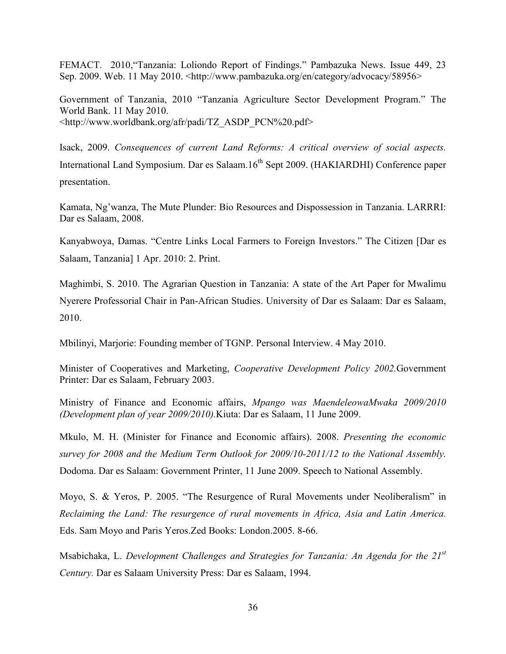FEMACT. 2010,"Tanzania: Loliondo Report of Findings." Pambazuka News. Issue 449, 23 Sep. 2009. Web. 11 May 2010. <http://www.pambazuka.org/en/category/advocacy/58956>

Government of Tanzania, 2010 "Tanzania Agriculture Sector Development Program." The World Bank. 11 May 2010. <http://www.worldbank.org/afr/padi/TZ\_ASDP\_PCN%20.pdf>

Isack, 2009. *Consequences of current Land Reforms: A critical overview of social aspects.*  International Land Symposium. Dar es Salaam.16<sup>th</sup> Sept 2009. (HAKIARDHI) Conference paper presentation.

Kamata, Ng'wanza, The Mute Plunder: Bio Resources and Dispossession in Tanzania. LARRRI: Dar es Salaam, 2008.

Kanyabwoya, Damas. "Centre Links Local Farmers to Foreign Investors." The Citizen [Dar es Salaam, Tanzania] 1 Apr. 2010: 2. Print.

Maghimbi, S. 2010. The Agrarian Question in Tanzania: A state of the Art Paper for Mwalimu Nyerere Professorial Chair in Pan-African Studies. University of Dar es Salaam: Dar es Salaam, 2010.

Mbilinyi, Marjorie: Founding member of TGNP. Personal Interview. 4 May 2010.

Minister of Cooperatives and Marketing, *Cooperative Development Policy 2002.*Government Printer: Dar es Salaam, February 2003.

Ministry of Finance and Economic affairs, *Mpango was MaendeleowaMwaka 2009/2010 (Development plan of year 2009/2010).*Kiuta: Dar es Salaam, 11 June 2009.

Mkulo, M. H. (Minister for Finance and Economic affairs). 2008. *Presenting the economic survey for 2008 and the Medium Term Outlook for 2009/10-2011/12 to the National Assembly.* Dodoma. Dar es Salaam: Government Printer, 11 June 2009. Speech to National Assembly.

Moyo, S. & Yeros, P. 2005. "The Resurgence of Rural Movements under Neoliberalism" in *Reclaiming the Land: The resurgence of rural movements in Africa, Asia and Latin America.* Eds. Sam Moyo and Paris Yeros.Zed Books: London.2005. 8-66.

Msabichaka, L. *Development Challenges and Strategies for Tanzania: An Agenda for the 21st Century.* Dar es Salaam University Press: Dar es Salaam, 1994.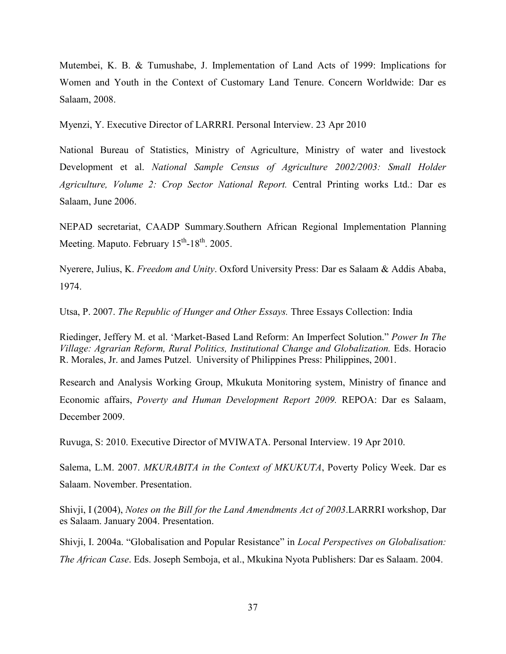Mutembei, K. B. & Tumushabe, J. Implementation of Land Acts of 1999: Implications for Women and Youth in the Context of Customary Land Tenure. Concern Worldwide: Dar es Salaam, 2008.

Myenzi, Y. Executive Director of LARRRI. Personal Interview. 23 Apr 2010

National Bureau of Statistics, Ministry of Agriculture, Ministry of water and livestock Development et al. *National Sample Census of Agriculture 2002/2003: Small Holder Agriculture, Volume 2: Crop Sector National Report.* Central Printing works Ltd.: Dar es Salaam, June 2006.

NEPAD secretariat, CAADP Summary.Southern African Regional Implementation Planning Meeting. Maputo. February  $15^{th}$ -18<sup>th</sup>. 2005.

Nyerere, Julius, K. *Freedom and Unity*. Oxford University Press: Dar es Salaam & Addis Ababa, 1974.

Utsa, P. 2007. *The Republic of Hunger and Other Essays.* Three Essays Collection: India

Riedinger, Jeffery M. et al. 'Market-Based Land Reform: An Imperfect Solution." *Power In The Village: Agrarian Reform, Rural Politics, Institutional Change and Globalization.* Eds. Horacio R. Morales, Jr. and James Putzel. University of Philippines Press: Philippines, 2001.

Research and Analysis Working Group, Mkukuta Monitoring system, Ministry of finance and Economic affairs, *Poverty and Human Development Report 2009.* REPOA: Dar es Salaam, December 2009.

Ruvuga, S: 2010. Executive Director of MVIWATA. Personal Interview. 19 Apr 2010.

Salema, L.M. 2007. *MKURABITA in the Context of MKUKUTA*, Poverty Policy Week. Dar es Salaam. November. Presentation.

Shivji, I (2004), *Notes on the Bill for the Land Amendments Act of 2003*.LARRRI workshop, Dar es Salaam. January 2004. Presentation.

Shivji, I. 2004a. "Globalisation and Popular Resistance" in *Local Perspectives on Globalisation: The African Case*. Eds. Joseph Semboja, et al., Mkukina Nyota Publishers: Dar es Salaam. 2004.